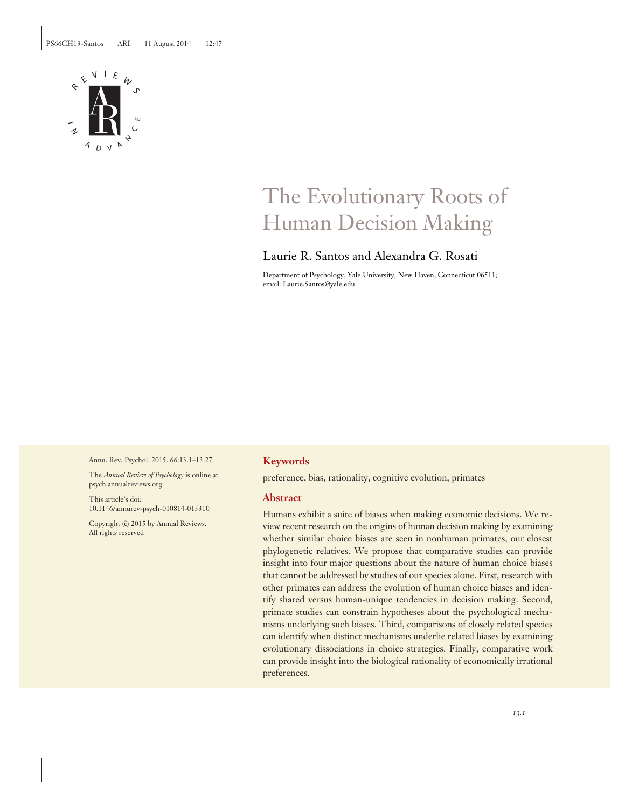

# The Evolutionary Roots of Human Decision Making

# Laurie R. Santos and Alexandra G. Rosati

Department of Psychology, Yale University, New Haven, Connecticut 06511; email: Laurie.Santos@yale.edu

Annu. Rev. Psychol. 2015. 66:13.1–13.27

The *Annual Review of Psychology* is online at psych.annualreviews.org

This article's doi: 10.1146/annurev-psych-010814-015310

Copyright  $\odot$  2015 by Annual Reviews. All rights reserved

# **Keywords**

preference, bias, rationality, cognitive evolution, primates

#### **Abstract**

Humans exhibit a suite of biases when making economic decisions. We review recent research on the origins of human decision making by examining whether similar choice biases are seen in nonhuman primates, our closest phylogenetic relatives. We propose that comparative studies can provide insight into four major questions about the nature of human choice biases that cannot be addressed by studies of our species alone. First, research with other primates can address the evolution of human choice biases and identify shared versus human-unique tendencies in decision making. Second, primate studies can constrain hypotheses about the psychological mechanisms underlying such biases. Third, comparisons of closely related species can identify when distinct mechanisms underlie related biases by examining evolutionary dissociations in choice strategies. Finally, comparative work can provide insight into the biological rationality of economically irrational preferences.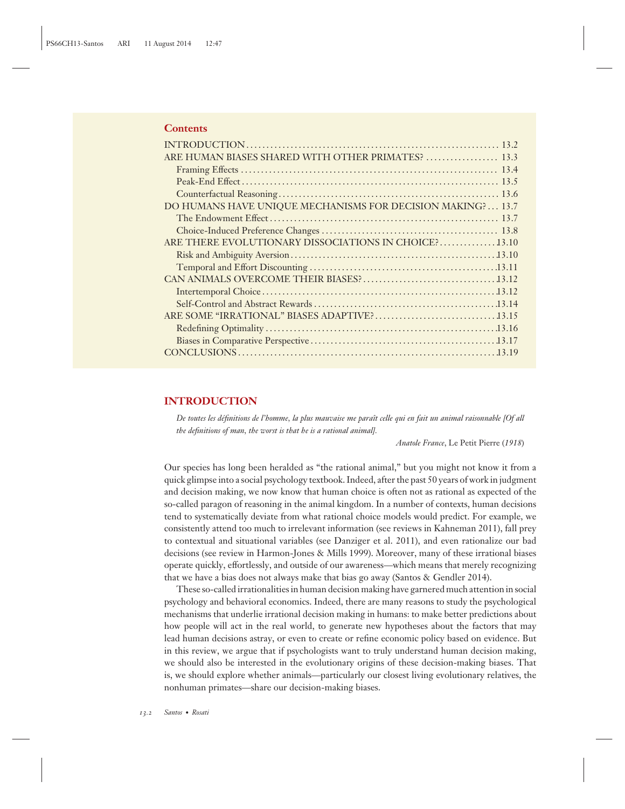#### **Contents**

| ARE HUMAN BIASES SHARED WITH OTHER PRIMATES?  13.3         |
|------------------------------------------------------------|
|                                                            |
|                                                            |
|                                                            |
| DO HUMANS HAVE UNIQUE MECHANISMS FOR DECISION MAKING? 13.7 |
|                                                            |
|                                                            |
| ARE THERE EVOLUTIONARY DISSOCIATIONS IN CHOICE? 13.10      |
|                                                            |
|                                                            |
|                                                            |
|                                                            |
|                                                            |
|                                                            |
|                                                            |
|                                                            |
|                                                            |

#### **INTRODUCTION**

*De toutes les d´efinitions de l'homme, la plus mauvaise me paraˆıt celle qui en fait un animal raisonnable [Of all the definitions of man, the worst is that he is a rational animal].*

*Anatole France*, Le Petit Pierre (*1918*)

Our species has long been heralded as "the rational animal," but you might not know it from a quick glimpse into a social psychology textbook. Indeed, after the past 50 years of work in judgment and decision making, we now know that human choice is often not as rational as expected of the so-called paragon of reasoning in the animal kingdom. In a number of contexts, human decisions tend to systematically deviate from what rational choice models would predict. For example, we consistently attend too much to irrelevant information (see reviews in Kahneman 2011), fall prey to contextual and situational variables (see Danziger et al. 2011), and even rationalize our bad decisions (see review in Harmon-Jones & Mills 1999). Moreover, many of these irrational biases operate quickly, effortlessly, and outside of our awareness—which means that merely recognizing that we have a bias does not always make that bias go away (Santos & Gendler 2014).

These so-called irrationalities in human decision making have garnered much attention in social psychology and behavioral economics. Indeed, there are many reasons to study the psychological mechanisms that underlie irrational decision making in humans: to make better predictions about how people will act in the real world, to generate new hypotheses about the factors that may lead human decisions astray, or even to create or refine economic policy based on evidence. But in this review, we argue that if psychologists want to truly understand human decision making, we should also be interested in the evolutionary origins of these decision-making biases. That is, we should explore whether animals*—*particularly our closest living evolutionary relatives, the nonhuman primates—share our decision-making biases.

*13.2 Santos* · *Rosati*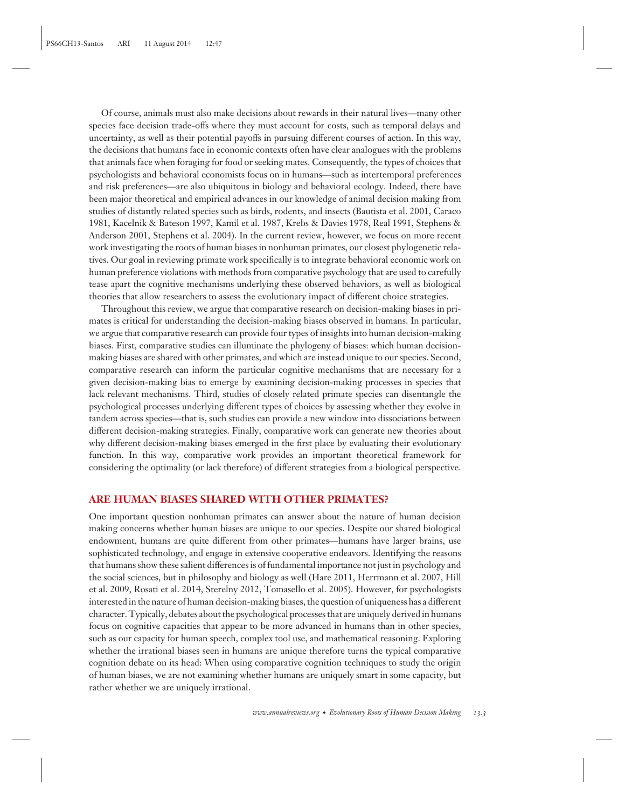Of course, animals must also make decisions about rewards in their natural lives—many other species face decision trade-offs where they must account for costs, such as temporal delays and uncertainty, as well as their potential payoffs in pursuing different courses of action. In this way, the decisions that humans face in economic contexts often have clear analogues with the problems that animals face when foraging for food or seeking mates. Consequently, the types of choices that psychologists and behavioral economists focus on in humans—such as intertemporal preferences and risk preferences—are also ubiquitous in biology and behavioral ecology. Indeed, there have been major theoretical and empirical advances in our knowledge of animal decision making from studies of distantly related species such as birds, rodents, and insects (Bautista et al. 2001, Caraco 1981, Kacelnik & Bateson 1997, Kamil et al. 1987, Krebs & Davies 1978, Real 1991, Stephens & Anderson 2001, Stephens et al. 2004). In the current review, however, we focus on more recent work investigating the roots of human biases in nonhuman primates, our closest phylogenetic relatives. Our goal in reviewing primate work specifically is to integrate behavioral economic work on human preference violations with methods from comparative psychology that are used to carefully tease apart the cognitive mechanisms underlying these observed behaviors, as well as biological theories that allow researchers to assess the evolutionary impact of different choice strategies.

Throughout this review, we argue that comparative research on decision-making biases in primates is critical for understanding the decision-making biases observed in humans. In particular, we argue that comparative research can provide four types of insights into human decision-making biases. First, comparative studies can illuminate the phylogeny of biases: which human decisionmaking biases are shared with other primates, and which are instead unique to our species. Second, comparative research can inform the particular cognitive mechanisms that are necessary for a given decision-making bias to emerge by examining decision-making processes in species that lack relevant mechanisms. Third, studies of closely related primate species can disentangle the psychological processes underlying different types of choices by assessing whether they evolve in tandem across species—that is, such studies can provide a new window into dissociations between different decision-making strategies. Finally, comparative work can generate new theories about why different decision-making biases emerged in the first place by evaluating their evolutionary function. In this way, comparative work provides an important theoretical framework for considering the optimality (or lack therefore) of different strategies from a biological perspective.

# **ARE HUMAN BIASES SHARED WITH OTHER PRIMATES?**

One important question nonhuman primates can answer about the nature of human decision making concerns whether human biases are unique to our species. Despite our shared biological endowment, humans are quite different from other primates—humans have larger brains, use sophisticated technology, and engage in extensive cooperative endeavors. Identifying the reasons that humans show these salient differences is of fundamental importance not just in psychology and the social sciences, but in philosophy and biology as well (Hare 2011, Herrmann et al. 2007, Hill et al. 2009, Rosati et al. 2014, Sterelny 2012, Tomasello et al. 2005). However, for psychologists interested in the nature of human decision-making biases, the question of uniqueness has a different character. Typically, debates about the psychological processes that are uniquely derived in humans focus on cognitive capacities that appear to be more advanced in humans than in other species, such as our capacity for human speech, complex tool use, and mathematical reasoning. Exploring whether the irrational biases seen in humans are unique therefore turns the typical comparative cognition debate on its head: When using comparative cognition techniques to study the origin of human biases, we are not examining whether humans are uniquely smart in some capacity, but rather whether we are uniquely irrational.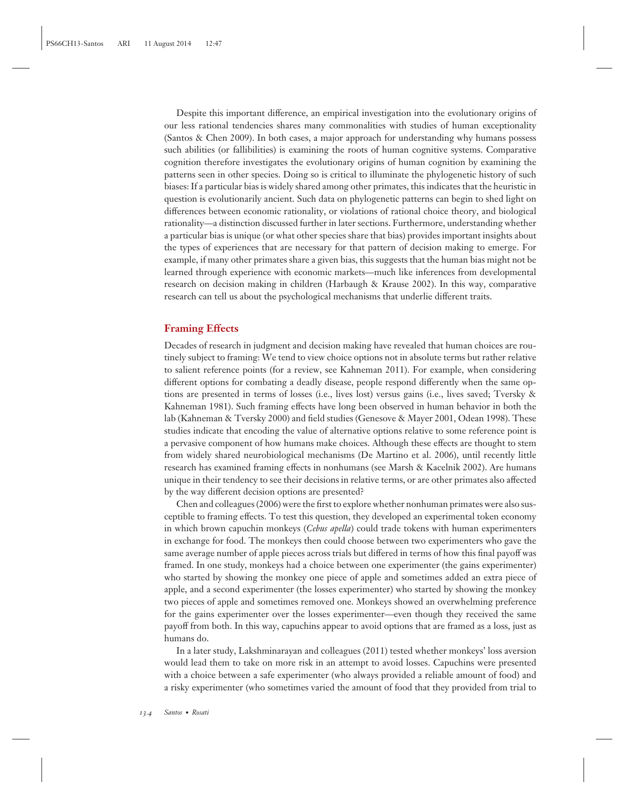Despite this important difference, an empirical investigation into the evolutionary origins of our less rational tendencies shares many commonalities with studies of human exceptionality (Santos & Chen 2009). In both cases, a major approach for understanding why humans possess such abilities (or fallibilities) is examining the roots of human cognitive systems. Comparative cognition therefore investigates the evolutionary origins of human cognition by examining the patterns seen in other species. Doing so is critical to illuminate the phylogenetic history of such biases: If a particular bias is widely shared among other primates, this indicates that the heuristic in question is evolutionarily ancient. Such data on phylogenetic patterns can begin to shed light on differences between economic rationality, or violations of rational choice theory, and biological rationality—a distinction discussed further in later sections. Furthermore, understanding whether a particular bias is unique (or what other species share that bias) provides important insights about the types of experiences that are necessary for that pattern of decision making to emerge. For example, if many other primates share a given bias, this suggests that the human bias might not be learned through experience with economic markets—much like inferences from developmental research on decision making in children (Harbaugh & Krause 2002). In this way, comparative research can tell us about the psychological mechanisms that underlie different traits.

#### **Framing Effects**

Decades of research in judgment and decision making have revealed that human choices are routinely subject to framing: We tend to view choice options not in absolute terms but rather relative to salient reference points (for a review, see Kahneman 2011). For example, when considering different options for combating a deadly disease, people respond differently when the same options are presented in terms of losses (i.e., lives lost) versus gains (i.e., lives saved; Tversky & Kahneman 1981). Such framing effects have long been observed in human behavior in both the lab (Kahneman & Tversky 2000) and field studies (Genesove & Mayer 2001, Odean 1998). These studies indicate that encoding the value of alternative options relative to some reference point is a pervasive component of how humans make choices. Although these effects are thought to stem from widely shared neurobiological mechanisms (De Martino et al. 2006), until recently little research has examined framing effects in nonhumans (see Marsh & Kacelnik 2002). Are humans unique in their tendency to see their decisions in relative terms, or are other primates also affected by the way different decision options are presented?

Chen and colleagues (2006) were the first to explore whether nonhuman primates were also susceptible to framing effects. To test this question, they developed an experimental token economy in which brown capuchin monkeys (*Cebus apella*) could trade tokens with human experimenters in exchange for food. The monkeys then could choose between two experimenters who gave the same average number of apple pieces across trials but differed in terms of how this final payoff was framed. In one study, monkeys had a choice between one experimenter (the gains experimenter) who started by showing the monkey one piece of apple and sometimes added an extra piece of apple, and a second experimenter (the losses experimenter) who started by showing the monkey two pieces of apple and sometimes removed one. Monkeys showed an overwhelming preference for the gains experimenter over the losses experimenter—even though they received the same payoff from both. In this way, capuchins appear to avoid options that are framed as a loss, just as humans do.

In a later study, Lakshminarayan and colleagues (2011) tested whether monkeys' loss aversion would lead them to take on more risk in an attempt to avoid losses. Capuchins were presented with a choice between a safe experimenter (who always provided a reliable amount of food) and a risky experimenter (who sometimes varied the amount of food that they provided from trial to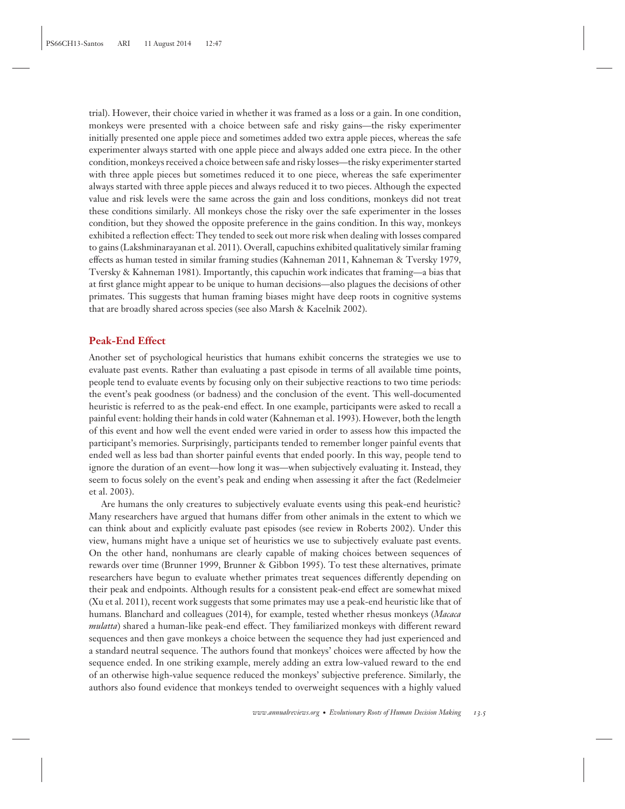trial). However, their choice varied in whether it was framed as a loss or a gain. In one condition, monkeys were presented with a choice between safe and risky gains—the risky experimenter initially presented one apple piece and sometimes added two extra apple pieces, whereas the safe experimenter always started with one apple piece and always added one extra piece. In the other condition, monkeys received a choice between safe and risky losses—the risky experimenter started with three apple pieces but sometimes reduced it to one piece, whereas the safe experimenter always started with three apple pieces and always reduced it to two pieces. Although the expected value and risk levels were the same across the gain and loss conditions, monkeys did not treat these conditions similarly. All monkeys chose the risky over the safe experimenter in the losses condition, but they showed the opposite preference in the gains condition. In this way, monkeys exhibited a reflection effect: They tended to seek out more risk when dealing with losses compared to gains (Lakshminarayanan et al. 2011). Overall, capuchins exhibited qualitatively similar framing effects as human tested in similar framing studies (Kahneman 2011, Kahneman & Tversky 1979, Tversky & Kahneman 1981). Importantly, this capuchin work indicates that framing—a bias that at first glance might appear to be unique to human decisions—also plagues the decisions of other primates. This suggests that human framing biases might have deep roots in cognitive systems that are broadly shared across species (see also Marsh & Kacelnik 2002).

#### **Peak-End Effect**

Another set of psychological heuristics that humans exhibit concerns the strategies we use to evaluate past events. Rather than evaluating a past episode in terms of all available time points, people tend to evaluate events by focusing only on their subjective reactions to two time periods: the event's peak goodness (or badness) and the conclusion of the event. This well-documented heuristic is referred to as the peak-end effect. In one example, participants were asked to recall a painful event: holding their hands in cold water (Kahneman et al. 1993). However, both the length of this event and how well the event ended were varied in order to assess how this impacted the participant's memories. Surprisingly, participants tended to remember longer painful events that ended well as less bad than shorter painful events that ended poorly. In this way, people tend to ignore the duration of an event—how long it was—when subjectively evaluating it. Instead, they seem to focus solely on the event's peak and ending when assessing it after the fact (Redelmeier et al. 2003).

Are humans the only creatures to subjectively evaluate events using this peak-end heuristic? Many researchers have argued that humans differ from other animals in the extent to which we can think about and explicitly evaluate past episodes (see review in Roberts 2002). Under this view, humans might have a unique set of heuristics we use to subjectively evaluate past events. On the other hand, nonhumans are clearly capable of making choices between sequences of rewards over time (Brunner 1999, Brunner & Gibbon 1995). To test these alternatives, primate researchers have begun to evaluate whether primates treat sequences differently depending on their peak and endpoints. Although results for a consistent peak-end effect are somewhat mixed (Xu et al. 2011), recent work suggests that some primates may use a peak-end heuristic like that of humans. Blanchard and colleagues (2014), for example, tested whether rhesus monkeys (*Macaca mulatta*) shared a human-like peak-end effect. They familiarized monkeys with different reward sequences and then gave monkeys a choice between the sequence they had just experienced and a standard neutral sequence. The authors found that monkeys' choices were affected by how the sequence ended. In one striking example, merely adding an extra low-valued reward to the end of an otherwise high-value sequence reduced the monkeys' subjective preference. Similarly, the authors also found evidence that monkeys tended to overweight sequences with a highly valued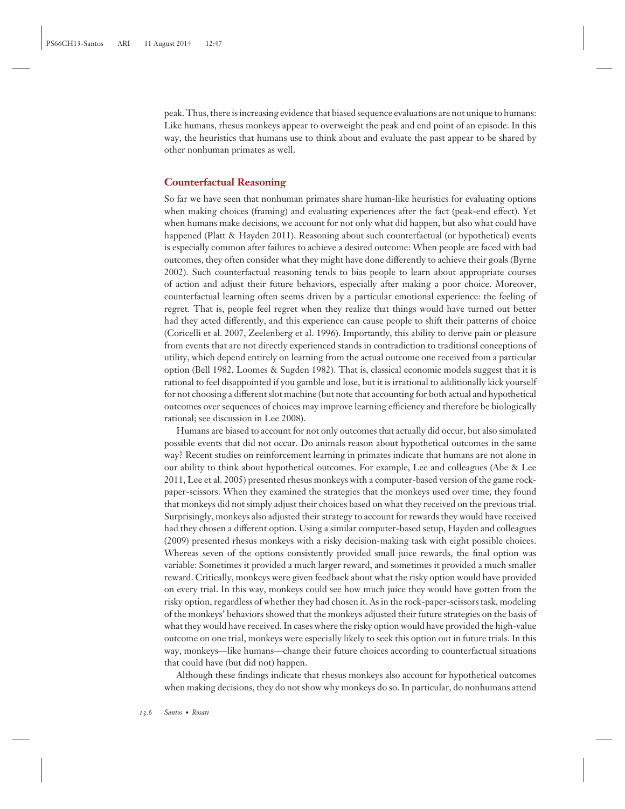peak. Thus, there is increasing evidence that biased sequence evaluations are not unique to humans: Like humans, rhesus monkeys appear to overweight the peak and end point of an episode. In this way, the heuristics that humans use to think about and evaluate the past appear to be shared by other nonhuman primates as well.

#### **Counterfactual Reasoning**

So far we have seen that nonhuman primates share human-like heuristics for evaluating options when making choices (framing) and evaluating experiences after the fact (peak-end effect). Yet when humans make decisions, we account for not only what did happen, but also what could have happened (Platt & Hayden 2011). Reasoning about such counterfactual (or hypothetical) events is especially common after failures to achieve a desired outcome: When people are faced with bad outcomes, they often consider what they might have done differently to achieve their goals (Byrne 2002). Such counterfactual reasoning tends to bias people to learn about appropriate courses of action and adjust their future behaviors, especially after making a poor choice. Moreover, counterfactual learning often seems driven by a particular emotional experience: the feeling of regret. That is, people feel regret when they realize that things would have turned out better had they acted differently, and this experience can cause people to shift their patterns of choice (Coricelli et al. 2007, Zeelenberg et al. 1996). Importantly, this ability to derive pain or pleasure from events that are not directly experienced stands in contradiction to traditional conceptions of utility, which depend entirely on learning from the actual outcome one received from a particular option (Bell 1982, Loomes & Sugden 1982). That is, classical economic models suggest that it is rational to feel disappointed if you gamble and lose, but it is irrational to additionally kick yourself for not choosing a different slot machine (but note that accounting for both actual and hypothetical outcomes over sequences of choices may improve learning efficiency and therefore be biologically rational; see discussion in Lee 2008).

Humans are biased to account for not only outcomes that actually did occur, but also simulated possible events that did not occur. Do animals reason about hypothetical outcomes in the same way? Recent studies on reinforcement learning in primates indicate that humans are not alone in our ability to think about hypothetical outcomes. For example, Lee and colleagues (Abe & Lee 2011, Lee et al. 2005) presented rhesus monkeys with a computer-based version of the game rockpaper-scissors. When they examined the strategies that the monkeys used over time, they found that monkeys did not simply adjust their choices based on what they received on the previous trial. Surprisingly, monkeys also adjusted their strategy to account for rewards they would have received had they chosen a different option. Using a similar computer-based setup, Hayden and colleagues (2009) presented rhesus monkeys with a risky decision-making task with eight possible choices. Whereas seven of the options consistently provided small juice rewards, the final option was variable: Sometimes it provided a much larger reward, and sometimes it provided a much smaller reward. Critically, monkeys were given feedback about what the risky option would have provided on every trial. In this way, monkeys could see how much juice they would have gotten from the risky option, regardless of whether they had chosen it. As in the rock-paper-scissors task, modeling of the monkeys' behaviors showed that the monkeys adjusted their future strategies on the basis of what they would have received. In cases where the risky option would have provided the high-value outcome on one trial, monkeys were especially likely to seek this option out in future trials. In this way, monkeys—like humans—change their future choices according to counterfactual situations that could have (but did not) happen.

Although these findings indicate that rhesus monkeys also account for hypothetical outcomes when making decisions, they do not show why monkeys do so. In particular, do nonhumans attend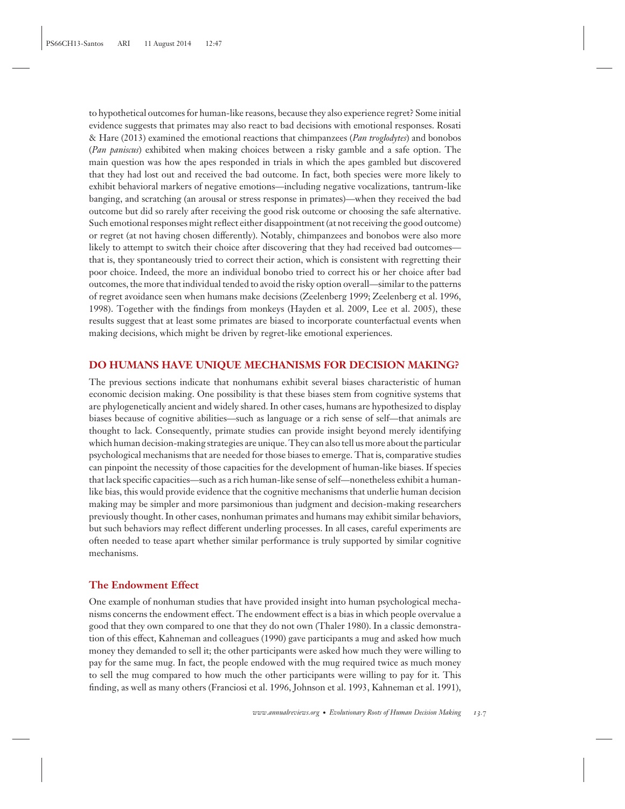to hypothetical outcomes for human-like reasons, because they also experience regret? Some initial evidence suggests that primates may also react to bad decisions with emotional responses. Rosati & Hare (2013) examined the emotional reactions that chimpanzees (*Pan troglodytes*) and bonobos (*Pan paniscus*) exhibited when making choices between a risky gamble and a safe option. The main question was how the apes responded in trials in which the apes gambled but discovered that they had lost out and received the bad outcome. In fact, both species were more likely to exhibit behavioral markers of negative emotions—including negative vocalizations, tantrum-like banging, and scratching (an arousal or stress response in primates)—when they received the bad outcome but did so rarely after receiving the good risk outcome or choosing the safe alternative. Such emotional responses might reflect either disappointment (at not receiving the good outcome) or regret (at not having chosen differently). Notably, chimpanzees and bonobos were also more likely to attempt to switch their choice after discovering that they had received bad outcomes that is, they spontaneously tried to correct their action, which is consistent with regretting their poor choice. Indeed, the more an individual bonobo tried to correct his or her choice after bad outcomes, the more that individual tended to avoid the risky option overall—similar to the patterns of regret avoidance seen when humans make decisions (Zeelenberg 1999; Zeelenberg et al. 1996, 1998). Together with the findings from monkeys (Hayden et al. 2009, Lee et al. 2005), these results suggest that at least some primates are biased to incorporate counterfactual events when making decisions, which might be driven by regret-like emotional experiences.

## **DO HUMANS HAVE UNIQUE MECHANISMS FOR DECISION MAKING?**

The previous sections indicate that nonhumans exhibit several biases characteristic of human economic decision making. One possibility is that these biases stem from cognitive systems that are phylogenetically ancient and widely shared. In other cases, humans are hypothesized to display biases because of cognitive abilities—such as language or a rich sense of self—that animals are thought to lack. Consequently, primate studies can provide insight beyond merely identifying which human decision-making strategies are unique. They can also tell us more about the particular psychological mechanisms that are needed for those biases to emerge. That is, comparative studies can pinpoint the necessity of those capacities for the development of human-like biases. If species that lack specific capacities—such as a rich human-like sense of self—nonetheless exhibit a humanlike bias, this would provide evidence that the cognitive mechanisms that underlie human decision making may be simpler and more parsimonious than judgment and decision-making researchers previously thought. In other cases, nonhuman primates and humans may exhibit similar behaviors, but such behaviors may reflect different underling processes. In all cases, careful experiments are often needed to tease apart whether similar performance is truly supported by similar cognitive mechanisms.

# **The Endowment Effect**

One example of nonhuman studies that have provided insight into human psychological mechanisms concerns the endowment effect. The endowment effect is a bias in which people overvalue a good that they own compared to one that they do not own (Thaler 1980). In a classic demonstration of this effect, Kahneman and colleagues (1990) gave participants a mug and asked how much money they demanded to sell it; the other participants were asked how much they were willing to pay for the same mug. In fact, the people endowed with the mug required twice as much money to sell the mug compared to how much the other participants were willing to pay for it. This finding, as well as many others (Franciosi et al. 1996, Johnson et al. 1993, Kahneman et al. 1991),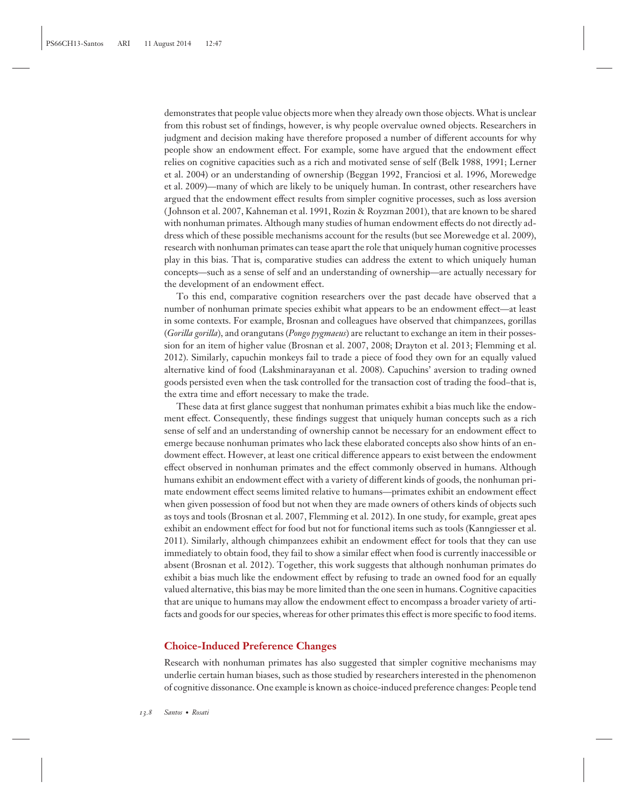demonstrates that people value objects more when they already own those objects. What is unclear from this robust set of findings, however, is why people overvalue owned objects. Researchers in judgment and decision making have therefore proposed a number of different accounts for why people show an endowment effect. For example, some have argued that the endowment effect relies on cognitive capacities such as a rich and motivated sense of self (Belk 1988, 1991; Lerner et al. 2004) or an understanding of ownership (Beggan 1992, Franciosi et al. 1996, Morewedge et al. 2009)—many of which are likely to be uniquely human. In contrast, other researchers have argued that the endowment effect results from simpler cognitive processes, such as loss aversion ( Johnson et al. 2007, Kahneman et al. 1991, Rozin & Royzman 2001), that are known to be shared with nonhuman primates. Although many studies of human endowment effects do not directly address which of these possible mechanisms account for the results (but see Morewedge et al. 2009), research with nonhuman primates can tease apart the role that uniquely human cognitive processes play in this bias. That is, comparative studies can address the extent to which uniquely human concepts—such as a sense of self and an understanding of ownership—are actually necessary for the development of an endowment effect.

To this end, comparative cognition researchers over the past decade have observed that a number of nonhuman primate species exhibit what appears to be an endowment effect—at least in some contexts. For example, Brosnan and colleagues have observed that chimpanzees, gorillas (*Gorilla gorilla*), and orangutans (*Pongo pygmaeus*) are reluctant to exchange an item in their possession for an item of higher value (Brosnan et al. 2007, 2008; Drayton et al. 2013; Flemming et al. 2012). Similarly, capuchin monkeys fail to trade a piece of food they own for an equally valued alternative kind of food (Lakshminarayanan et al. 2008). Capuchins' aversion to trading owned goods persisted even when the task controlled for the transaction cost of trading the food–that is, the extra time and effort necessary to make the trade.

These data at first glance suggest that nonhuman primates exhibit a bias much like the endowment effect. Consequently, these findings suggest that uniquely human concepts such as a rich sense of self and an understanding of ownership cannot be necessary for an endowment effect to emerge because nonhuman primates who lack these elaborated concepts also show hints of an endowment effect. However, at least one critical difference appears to exist between the endowment effect observed in nonhuman primates and the effect commonly observed in humans. Although humans exhibit an endowment effect with a variety of different kinds of goods, the nonhuman primate endowment effect seems limited relative to humans—primates exhibit an endowment effect when given possession of food but not when they are made owners of others kinds of objects such as toys and tools (Brosnan et al. 2007, Flemming et al. 2012). In one study, for example, great apes exhibit an endowment effect for food but not for functional items such as tools (Kanngiesser et al. 2011). Similarly, although chimpanzees exhibit an endowment effect for tools that they can use immediately to obtain food, they fail to show a similar effect when food is currently inaccessible or absent (Brosnan et al. 2012). Together, this work suggests that although nonhuman primates do exhibit a bias much like the endowment effect by refusing to trade an owned food for an equally valued alternative, this bias may be more limited than the one seen in humans. Cognitive capacities that are unique to humans may allow the endowment effect to encompass a broader variety of artifacts and goods for our species, whereas for other primates this effect is more specific to food items.

#### **Choice-Induced Preference Changes**

Research with nonhuman primates has also suggested that simpler cognitive mechanisms may underlie certain human biases, such as those studied by researchers interested in the phenomenon of cognitive dissonance. One example is known as choice-induced preference changes: People tend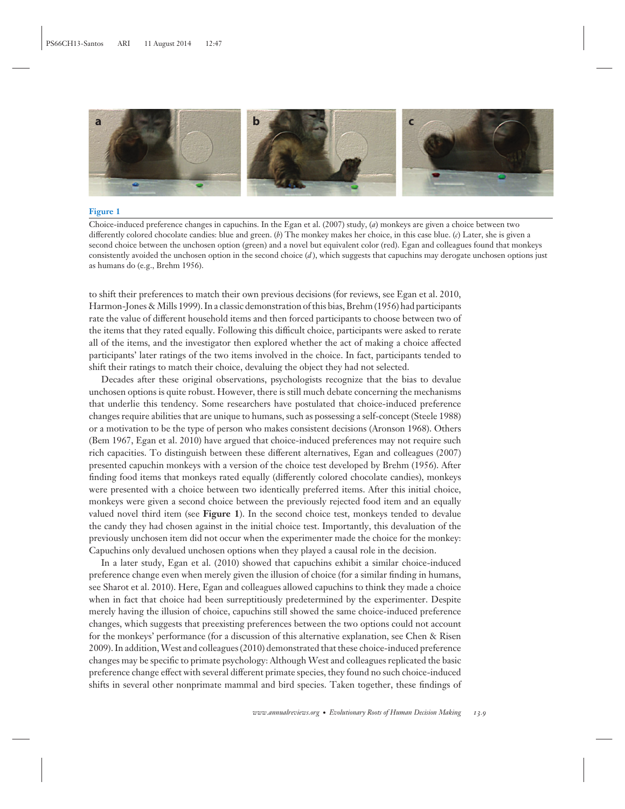

#### **Figure 1**

Choice-induced preference changes in capuchins. In the Egan et al. (2007) study, (*a*) monkeys are given a choice between two differently colored chocolate candies: blue and green. (*b*) The monkey makes her choice, in this case blue. (*c*) Later, she is given a second choice between the unchosen option (green) and a novel but equivalent color (red). Egan and colleagues found that monkeys consistently avoided the unchosen option in the second choice (*d* ), which suggests that capuchins may derogate unchosen options just as humans do (e.g., Brehm 1956).

to shift their preferences to match their own previous decisions (for reviews, see Egan et al. 2010, Harmon-Jones & Mills 1999). In a classic demonstration of this bias, Brehm (1956) had participants rate the value of different household items and then forced participants to choose between two of the items that they rated equally. Following this difficult choice, participants were asked to rerate all of the items, and the investigator then explored whether the act of making a choice affected participants' later ratings of the two items involved in the choice. In fact, participants tended to shift their ratings to match their choice, devaluing the object they had not selected.

Decades after these original observations, psychologists recognize that the bias to devalue unchosen options is quite robust. However, there is still much debate concerning the mechanisms that underlie this tendency. Some researchers have postulated that choice-induced preference changes require abilities that are unique to humans, such as possessing a self-concept (Steele 1988) or a motivation to be the type of person who makes consistent decisions (Aronson 1968). Others (Bem 1967, Egan et al. 2010) have argued that choice-induced preferences may not require such rich capacities. To distinguish between these different alternatives, Egan and colleagues (2007) presented capuchin monkeys with a version of the choice test developed by Brehm (1956). After finding food items that monkeys rated equally (differently colored chocolate candies), monkeys were presented with a choice between two identically preferred items. After this initial choice, monkeys were given a second choice between the previously rejected food item and an equally valued novel third item (see **Figure 1**). In the second choice test, monkeys tended to devalue the candy they had chosen against in the initial choice test. Importantly, this devaluation of the previously unchosen item did not occur when the experimenter made the choice for the monkey: Capuchins only devalued unchosen options when they played a causal role in the decision.

In a later study, Egan et al. (2010) showed that capuchins exhibit a similar choice-induced preference change even when merely given the illusion of choice (for a similar finding in humans, see Sharot et al. 2010). Here, Egan and colleagues allowed capuchins to think they made a choice when in fact that choice had been surreptitiously predetermined by the experimenter. Despite merely having the illusion of choice, capuchins still showed the same choice-induced preference changes, which suggests that preexisting preferences between the two options could not account for the monkeys' performance (for a discussion of this alternative explanation, see Chen & Risen 2009). In addition,West and colleagues (2010) demonstrated that these choice-induced preference changes may be specific to primate psychology: Although West and colleagues replicated the basic preference change effect with several different primate species, they found no such choice-induced shifts in several other nonprimate mammal and bird species. Taken together, these findings of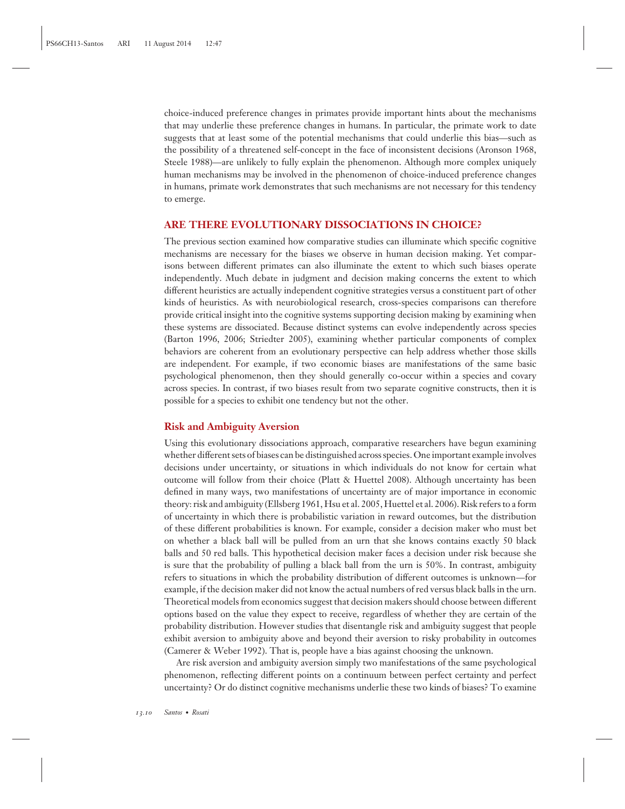choice-induced preference changes in primates provide important hints about the mechanisms that may underlie these preference changes in humans. In particular, the primate work to date suggests that at least some of the potential mechanisms that could underlie this bias—such as the possibility of a threatened self-concept in the face of inconsistent decisions (Aronson 1968, Steele 1988)—are unlikely to fully explain the phenomenon. Although more complex uniquely human mechanisms may be involved in the phenomenon of choice-induced preference changes in humans, primate work demonstrates that such mechanisms are not necessary for this tendency to emerge.

## **ARE THERE EVOLUTIONARY DISSOCIATIONS IN CHOICE?**

The previous section examined how comparative studies can illuminate which specific cognitive mechanisms are necessary for the biases we observe in human decision making. Yet comparisons between different primates can also illuminate the extent to which such biases operate independently. Much debate in judgment and decision making concerns the extent to which different heuristics are actually independent cognitive strategies versus a constituent part of other kinds of heuristics. As with neurobiological research, cross-species comparisons can therefore provide critical insight into the cognitive systems supporting decision making by examining when these systems are dissociated. Because distinct systems can evolve independently across species (Barton 1996, 2006; Striedter 2005), examining whether particular components of complex behaviors are coherent from an evolutionary perspective can help address whether those skills are independent. For example, if two economic biases are manifestations of the same basic psychological phenomenon, then they should generally co-occur within a species and covary across species. In contrast, if two biases result from two separate cognitive constructs, then it is possible for a species to exhibit one tendency but not the other.

#### **Risk and Ambiguity Aversion**

Using this evolutionary dissociations approach, comparative researchers have begun examining whether different sets of biases can be distinguished across species. One important example involves decisions under uncertainty, or situations in which individuals do not know for certain what outcome will follow from their choice (Platt & Huettel 2008). Although uncertainty has been defined in many ways, two manifestations of uncertainty are of major importance in economic theory: risk and ambiguity (Ellsberg 1961, Hsu et al. 2005, Huettel et al. 2006). Risk refers to a form of uncertainty in which there is probabilistic variation in reward outcomes, but the distribution of these different probabilities is known. For example, consider a decision maker who must bet on whether a black ball will be pulled from an urn that she knows contains exactly 50 black balls and 50 red balls. This hypothetical decision maker faces a decision under risk because she is sure that the probability of pulling a black ball from the urn is 50%. In contrast, ambiguity refers to situations in which the probability distribution of different outcomes is unknown—for example, if the decision maker did not know the actual numbers of red versus black balls in the urn. Theoretical models from economics suggest that decision makers should choose between different options based on the value they expect to receive, regardless of whether they are certain of the probability distribution. However studies that disentangle risk and ambiguity suggest that people exhibit aversion to ambiguity above and beyond their aversion to risky probability in outcomes (Camerer & Weber 1992). That is, people have a bias against choosing the unknown.

Are risk aversion and ambiguity aversion simply two manifestations of the same psychological phenomenon, reflecting different points on a continuum between perfect certainty and perfect uncertainty? Or do distinct cognitive mechanisms underlie these two kinds of biases? To examine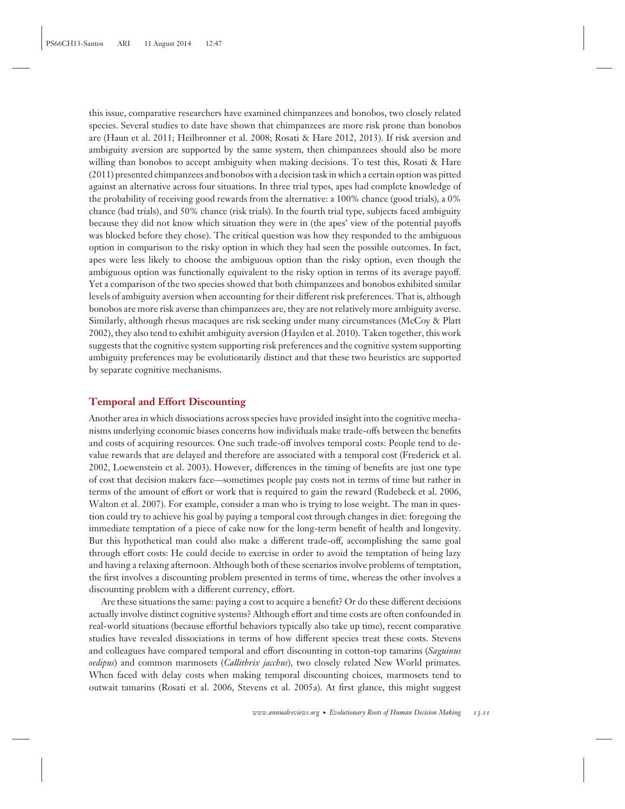this issue, comparative researchers have examined chimpanzees and bonobos, two closely related species. Several studies to date have shown that chimpanzees are more risk prone than bonobos are (Haun et al. 2011; Heilbronner et al. 2008; Rosati & Hare 2012, 2013). If risk aversion and ambiguity aversion are supported by the same system, then chimpanzees should also be more willing than bonobos to accept ambiguity when making decisions. To test this, Rosati & Hare (2011) presented chimpanzees and bonobos with a decision task in which a certain option was pitted against an alternative across four situations. In three trial types, apes had complete knowledge of the probability of receiving good rewards from the alternative: a 100% chance (good trials), a 0% chance (bad trials), and 50% chance (risk trials). In the fourth trial type, subjects faced ambiguity because they did not know which situation they were in (the apes' view of the potential payoffs was blocked before they chose). The critical question was how they responded to the ambiguous option in comparison to the risky option in which they had seen the possible outcomes. In fact, apes were less likely to choose the ambiguous option than the risky option, even though the ambiguous option was functionally equivalent to the risky option in terms of its average payoff. Yet a comparison of the two species showed that both chimpanzees and bonobos exhibited similar levels of ambiguity aversion when accounting for their different risk preferences. That is, although bonobos are more risk averse than chimpanzees are, they are not relatively more ambiguity averse. Similarly, although rhesus macaques are risk seeking under many circumstances (McCoy & Platt 2002), they also tend to exhibit ambiguity aversion (Hayden et al. 2010). Taken together, this work suggests that the cognitive system supporting risk preferences and the cognitive system supporting ambiguity preferences may be evolutionarily distinct and that these two heuristics are supported by separate cognitive mechanisms.

#### **Temporal and Effort Discounting**

Another area in which dissociations across species have provided insight into the cognitive mechanisms underlying economic biases concerns how individuals make trade-offs between the benefits and costs of acquiring resources. One such trade-off involves temporal costs: People tend to devalue rewards that are delayed and therefore are associated with a temporal cost (Frederick et al. 2002, Loewenstein et al. 2003). However, differences in the timing of benefits are just one type of cost that decision makers face—sometimes people pay costs not in terms of time but rather in terms of the amount of effort or work that is required to gain the reward (Rudebeck et al. 2006, Walton et al. 2007). For example, consider a man who is trying to lose weight. The man in question could try to achieve his goal by paying a temporal cost through changes in diet: foregoing the immediate temptation of a piece of cake now for the long-term benefit of health and longevity. But this hypothetical man could also make a different trade-off, accomplishing the same goal through effort costs: He could decide to exercise in order to avoid the temptation of being lazy and having a relaxing afternoon. Although both of these scenarios involve problems of temptation, the first involves a discounting problem presented in terms of time, whereas the other involves a discounting problem with a different currency, effort.

Are these situations the same: paying a cost to acquire a benefit? Or do these different decisions actually involve distinct cognitive systems? Although effort and time costs are often confounded in real-world situations (because effortful behaviors typically also take up time), recent comparative studies have revealed dissociations in terms of how different species treat these costs. Stevens and colleagues have compared temporal and effort discounting in cotton-top tamarins (*Saguinus oedipus*) and common marmosets (*Callithrix jacchus*), two closely related New World primates. When faced with delay costs when making temporal discounting choices, marmosets tend to outwait tamarins (Rosati et al. 2006, Stevens et al. 2005a). At first glance, this might suggest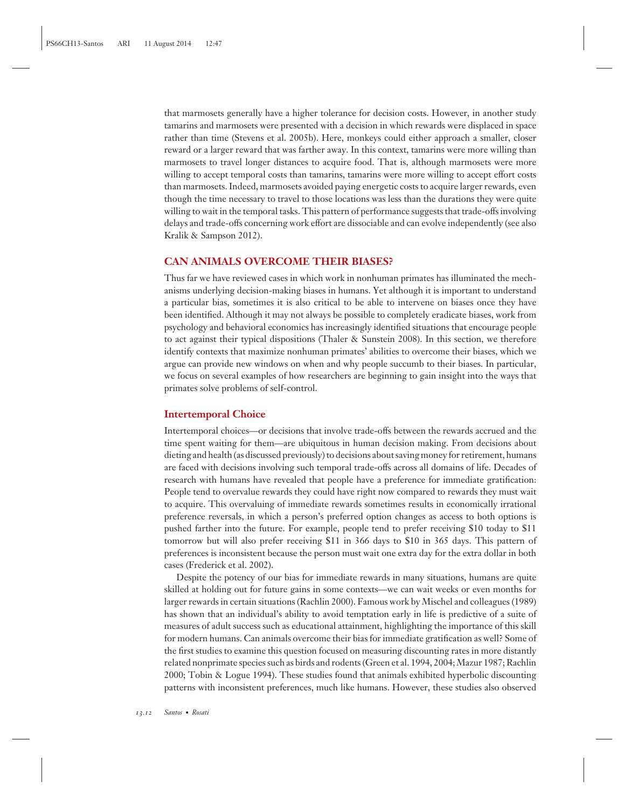that marmosets generally have a higher tolerance for decision costs. However, in another study tamarins and marmosets were presented with a decision in which rewards were displaced in space rather than time (Stevens et al. 2005b). Here, monkeys could either approach a smaller, closer reward or a larger reward that was farther away. In this context, tamarins were more willing than marmosets to travel longer distances to acquire food. That is, although marmosets were more willing to accept temporal costs than tamarins, tamarins were more willing to accept effort costs than marmosets. Indeed, marmosets avoided paying energetic costs to acquire larger rewards, even though the time necessary to travel to those locations was less than the durations they were quite willing to wait in the temporal tasks. This pattern of performance suggests that trade-offs involving delays and trade-offs concerning work effort are dissociable and can evolve independently (see also Kralik & Sampson 2012).

#### **CAN ANIMALS OVERCOME THEIR BIASES?**

Thus far we have reviewed cases in which work in nonhuman primates has illuminated the mechanisms underlying decision-making biases in humans. Yet although it is important to understand a particular bias, sometimes it is also critical to be able to intervene on biases once they have been identified. Although it may not always be possible to completely eradicate biases, work from psychology and behavioral economics has increasingly identified situations that encourage people to act against their typical dispositions (Thaler & Sunstein 2008). In this section, we therefore identify contexts that maximize nonhuman primates' abilities to overcome their biases, which we argue can provide new windows on when and why people succumb to their biases. In particular, we focus on several examples of how researchers are beginning to gain insight into the ways that primates solve problems of self-control.

#### **Intertemporal Choice**

Intertemporal choices—or decisions that involve trade-offs between the rewards accrued and the time spent waiting for them—are ubiquitous in human decision making. From decisions about dieting and health (as discussed previously) to decisions about saving money for retirement, humans are faced with decisions involving such temporal trade-offs across all domains of life. Decades of research with humans have revealed that people have a preference for immediate gratification: People tend to overvalue rewards they could have right now compared to rewards they must wait to acquire. This overvaluing of immediate rewards sometimes results in economically irrational preference reversals, in which a person's preferred option changes as access to both options is pushed farther into the future. For example, people tend to prefer receiving \$10 today to \$11 tomorrow but will also prefer receiving \$11 in 366 days to \$10 in 365 days. This pattern of preferences is inconsistent because the person must wait one extra day for the extra dollar in both cases (Frederick et al. 2002).

Despite the potency of our bias for immediate rewards in many situations, humans are quite skilled at holding out for future gains in some contexts—we can wait weeks or even months for larger rewards in certain situations (Rachlin 2000). Famous work by Mischel and colleagues (1989) has shown that an individual's ability to avoid temptation early in life is predictive of a suite of measures of adult success such as educational attainment, highlighting the importance of this skill for modern humans. Can animals overcome their bias for immediate gratification as well? Some of the first studies to examine this question focused on measuring discounting rates in more distantly related nonprimate species such as birds and rodents (Green et al. 1994, 2004; Mazur 1987; Rachlin 2000; Tobin & Logue 1994). These studies found that animals exhibited hyperbolic discounting patterns with inconsistent preferences, much like humans. However, these studies also observed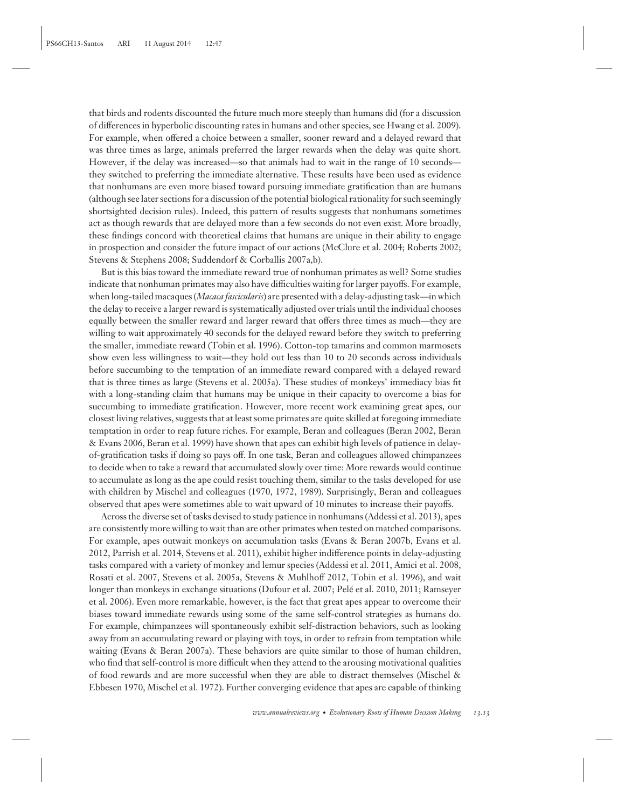that birds and rodents discounted the future much more steeply than humans did (for a discussion of differences in hyperbolic discounting rates in humans and other species, see Hwang et al. 2009). For example, when offered a choice between a smaller, sooner reward and a delayed reward that was three times as large, animals preferred the larger rewards when the delay was quite short. However, if the delay was increased—so that animals had to wait in the range of 10 seconds they switched to preferring the immediate alternative. These results have been used as evidence that nonhumans are even more biased toward pursuing immediate gratification than are humans (although see later sections for a discussion of the potential biological rationality for such seemingly shortsighted decision rules). Indeed, this pattern of results suggests that nonhumans sometimes act as though rewards that are delayed more than a few seconds do not even exist. More broadly, these findings concord with theoretical claims that humans are unique in their ability to engage in prospection and consider the future impact of our actions (McClure et al. 2004; Roberts 2002; Stevens & Stephens 2008; Suddendorf & Corballis 2007a,b).

But is this bias toward the immediate reward true of nonhuman primates as well? Some studies indicate that nonhuman primates may also have difficulties waiting for larger payoffs. For example, when long-tailed macaques (*Macaca fascicularis*) are presented with a delay-adjusting task—in which the delay to receive a larger reward is systematically adjusted over trials until the individual chooses equally between the smaller reward and larger reward that offers three times as much—they are willing to wait approximately 40 seconds for the delayed reward before they switch to preferring the smaller, immediate reward (Tobin et al. 1996). Cotton-top tamarins and common marmosets show even less willingness to wait—they hold out less than 10 to 20 seconds across individuals before succumbing to the temptation of an immediate reward compared with a delayed reward that is three times as large (Stevens et al. 2005a). These studies of monkeys' immediacy bias fit with a long-standing claim that humans may be unique in their capacity to overcome a bias for succumbing to immediate gratification. However, more recent work examining great apes, our closest living relatives, suggests that at least some primates are quite skilled at foregoing immediate temptation in order to reap future riches. For example, Beran and colleagues (Beran 2002, Beran & Evans 2006, Beran et al. 1999) have shown that apes can exhibit high levels of patience in delayof-gratification tasks if doing so pays off. In one task, Beran and colleagues allowed chimpanzees to decide when to take a reward that accumulated slowly over time: More rewards would continue to accumulate as long as the ape could resist touching them, similar to the tasks developed for use with children by Mischel and colleagues (1970, 1972, 1989). Surprisingly, Beran and colleagues observed that apes were sometimes able to wait upward of 10 minutes to increase their payoffs.

Across the diverse set of tasks devised to study patience in nonhumans (Addessi et al. 2013), apes are consistently more willing to wait than are other primates when tested on matched comparisons. For example, apes outwait monkeys on accumulation tasks (Evans & Beran 2007b, Evans et al. 2012, Parrish et al. 2014, Stevens et al. 2011), exhibit higher indifference points in delay-adjusting tasks compared with a variety of monkey and lemur species (Addessi et al. 2011, Amici et al. 2008, Rosati et al. 2007, Stevens et al. 2005a, Stevens & Muhlhoff 2012, Tobin et al. 1996), and wait longer than monkeys in exchange situations (Dufour et al. 2007; Pelé et al. 2010, 2011; Ramseyer et al. 2006). Even more remarkable, however, is the fact that great apes appear to overcome their biases toward immediate rewards using some of the same self-control strategies as humans do. For example, chimpanzees will spontaneously exhibit self-distraction behaviors, such as looking away from an accumulating reward or playing with toys, in order to refrain from temptation while waiting (Evans & Beran 2007a). These behaviors are quite similar to those of human children, who find that self-control is more difficult when they attend to the arousing motivational qualities of food rewards and are more successful when they are able to distract themselves (Mischel & Ebbesen 1970, Mischel et al. 1972). Further converging evidence that apes are capable of thinking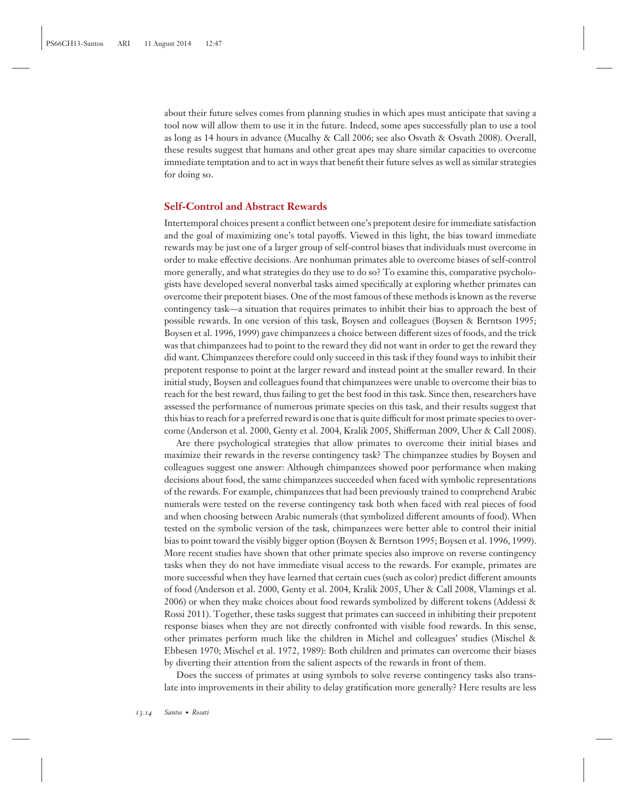about their future selves comes from planning studies in which apes must anticipate that saving a tool now will allow them to use it in the future. Indeed, some apes successfully plan to use a tool as long as 14 hours in advance (Mucalhy & Call 2006; see also Osvath & Osvath 2008). Overall, these results suggest that humans and other great apes may share similar capacities to overcome immediate temptation and to act in ways that benefit their future selves as well as similar strategies for doing so.

## **Self-Control and Abstract Rewards**

Intertemporal choices present a conflict between one's prepotent desire for immediate satisfaction and the goal of maximizing one's total payoffs. Viewed in this light, the bias toward immediate rewards may be just one of a larger group of self-control biases that individuals must overcome in order to make effective decisions. Are nonhuman primates able to overcome biases of self-control more generally, and what strategies do they use to do so? To examine this, comparative psychologists have developed several nonverbal tasks aimed specifically at exploring whether primates can overcome their prepotent biases. One of the most famous of these methods is known as the reverse contingency task—a situation that requires primates to inhibit their bias to approach the best of possible rewards. In one version of this task, Boysen and colleagues (Boysen & Berntson 1995; Boysen et al. 1996, 1999) gave chimpanzees a choice between different sizes of foods, and the trick was that chimpanzees had to point to the reward they did not want in order to get the reward they did want. Chimpanzees therefore could only succeed in this task if they found ways to inhibit their prepotent response to point at the larger reward and instead point at the smaller reward. In their initial study, Boysen and colleagues found that chimpanzees were unable to overcome their bias to reach for the best reward, thus failing to get the best food in this task. Since then, researchers have assessed the performance of numerous primate species on this task, and their results suggest that this bias to reach for a preferred reward is one that is quite difficult for most primate species to overcome (Anderson et al. 2000, Genty et al. 2004, Kralik 2005, Shifferman 2009, Uher & Call 2008).

Are there psychological strategies that allow primates to overcome their initial biases and maximize their rewards in the reverse contingency task? The chimpanzee studies by Boysen and colleagues suggest one answer: Although chimpanzees showed poor performance when making decisions about food, the same chimpanzees succeeded when faced with symbolic representations of the rewards. For example, chimpanzees that had been previously trained to comprehend Arabic numerals were tested on the reverse contingency task both when faced with real pieces of food and when choosing between Arabic numerals (that symbolized different amounts of food). When tested on the symbolic version of the task, chimpanzees were better able to control their initial bias to point toward the visibly bigger option (Boysen & Berntson 1995; Boysen et al. 1996, 1999). More recent studies have shown that other primate species also improve on reverse contingency tasks when they do not have immediate visual access to the rewards. For example, primates are more successful when they have learned that certain cues (such as color) predict different amounts of food (Anderson et al. 2000, Genty et al. 2004, Kralik 2005, Uher & Call 2008, Vlamings et al. 2006) or when they make choices about food rewards symbolized by different tokens (Addessi & Rossi 2011). Together, these tasks suggest that primates can succeed in inhibiting their prepotent response biases when they are not directly confronted with visible food rewards. In this sense, other primates perform much like the children in Michel and colleagues' studies (Mischel & Ebbesen 1970; Mischel et al. 1972, 1989): Both children and primates can overcome their biases by diverting their attention from the salient aspects of the rewards in front of them.

Does the success of primates at using symbols to solve reverse contingency tasks also translate into improvements in their ability to delay gratification more generally? Here results are less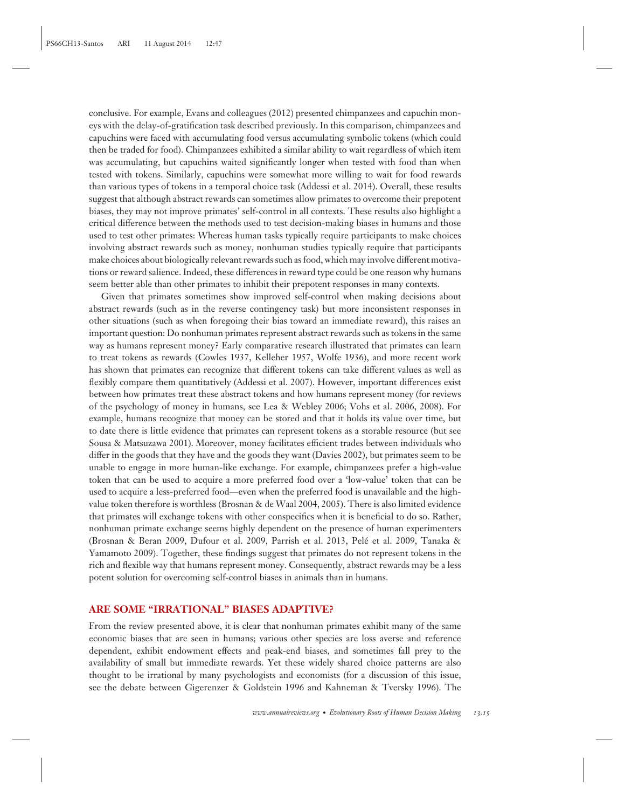conclusive. For example, Evans and colleagues (2012) presented chimpanzees and capuchin moneys with the delay-of-gratification task described previously. In this comparison, chimpanzees and capuchins were faced with accumulating food versus accumulating symbolic tokens (which could then be traded for food). Chimpanzees exhibited a similar ability to wait regardless of which item was accumulating, but capuchins waited significantly longer when tested with food than when tested with tokens. Similarly, capuchins were somewhat more willing to wait for food rewards than various types of tokens in a temporal choice task (Addessi et al. 2014). Overall, these results suggest that although abstract rewards can sometimes allow primates to overcome their prepotent biases, they may not improve primates' self-control in all contexts. These results also highlight a critical difference between the methods used to test decision-making biases in humans and those used to test other primates: Whereas human tasks typically require participants to make choices involving abstract rewards such as money, nonhuman studies typically require that participants make choices about biologically relevant rewards such as food, which may involve different motivations or reward salience. Indeed, these differences in reward type could be one reason why humans seem better able than other primates to inhibit their prepotent responses in many contexts.

Given that primates sometimes show improved self-control when making decisions about abstract rewards (such as in the reverse contingency task) but more inconsistent responses in other situations (such as when foregoing their bias toward an immediate reward), this raises an important question: Do nonhuman primates represent abstract rewards such as tokens in the same way as humans represent money? Early comparative research illustrated that primates can learn to treat tokens as rewards (Cowles 1937, Kelleher 1957, Wolfe 1936), and more recent work has shown that primates can recognize that different tokens can take different values as well as flexibly compare them quantitatively (Addessi et al. 2007). However, important differences exist between how primates treat these abstract tokens and how humans represent money (for reviews of the psychology of money in humans, see Lea & Webley 2006; Vohs et al. 2006, 2008). For example, humans recognize that money can be stored and that it holds its value over time, but to date there is little evidence that primates can represent tokens as a storable resource (but see Sousa & Matsuzawa 2001). Moreover, money facilitates efficient trades between individuals who differ in the goods that they have and the goods they want (Davies 2002), but primates seem to be unable to engage in more human-like exchange. For example, chimpanzees prefer a high-value token that can be used to acquire a more preferred food over a 'low-value' token that can be used to acquire a less-preferred food—even when the preferred food is unavailable and the highvalue token therefore is worthless (Brosnan & de Waal 2004, 2005). There is also limited evidence that primates will exchange tokens with other conspecifics when it is beneficial to do so. Rather, nonhuman primate exchange seems highly dependent on the presence of human experimenters (Brosnan & Beran 2009, Dufour et al. 2009, Parrish et al. 2013, Pele et al. 2009, Tanaka & ´ Yamamoto 2009). Together, these findings suggest that primates do not represent tokens in the rich and flexible way that humans represent money. Consequently, abstract rewards may be a less potent solution for overcoming self-control biases in animals than in humans.

#### **ARE SOME "IRRATIONAL" BIASES ADAPTIVE?**

From the review presented above, it is clear that nonhuman primates exhibit many of the same economic biases that are seen in humans; various other species are loss averse and reference dependent, exhibit endowment effects and peak-end biases, and sometimes fall prey to the availability of small but immediate rewards. Yet these widely shared choice patterns are also thought to be irrational by many psychologists and economists (for a discussion of this issue, see the debate between Gigerenzer & Goldstein 1996 and Kahneman & Tversky 1996). The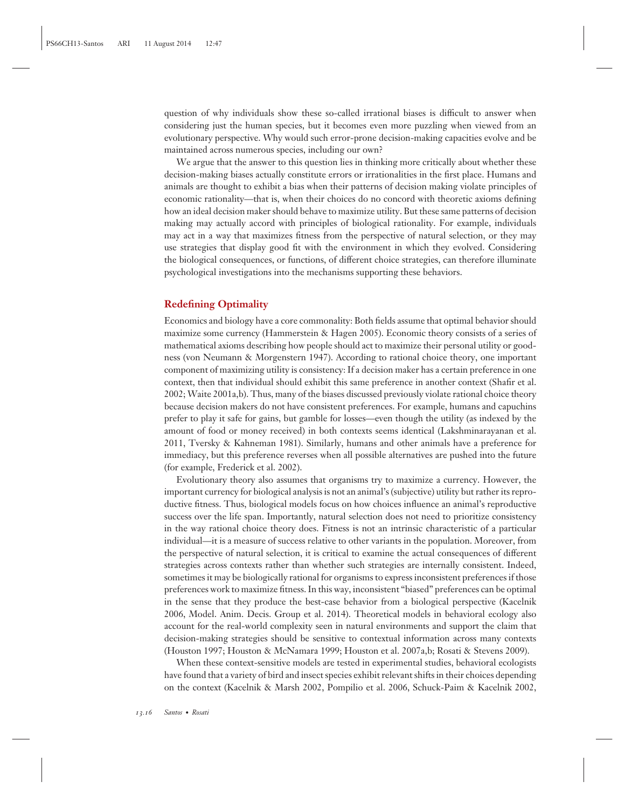question of why individuals show these so-called irrational biases is difficult to answer when considering just the human species, but it becomes even more puzzling when viewed from an evolutionary perspective. Why would such error-prone decision-making capacities evolve and be maintained across numerous species, including our own?

We argue that the answer to this question lies in thinking more critically about whether these decision-making biases actually constitute errors or irrationalities in the first place. Humans and animals are thought to exhibit a bias when their patterns of decision making violate principles of economic rationality—that is, when their choices do no concord with theoretic axioms defining how an ideal decision maker should behave to maximize utility. But these same patterns of decision making may actually accord with principles of biological rationality. For example, individuals may act in a way that maximizes fitness from the perspective of natural selection, or they may use strategies that display good fit with the environment in which they evolved. Considering the biological consequences, or functions, of different choice strategies, can therefore illuminate psychological investigations into the mechanisms supporting these behaviors.

## **Redefining Optimality**

Economics and biology have a core commonality: Both fields assume that optimal behavior should maximize some currency (Hammerstein & Hagen 2005). Economic theory consists of a series of mathematical axioms describing how people should act to maximize their personal utility or goodness (von Neumann & Morgenstern 1947). According to rational choice theory, one important component of maximizing utility is consistency: If a decision maker has a certain preference in one context, then that individual should exhibit this same preference in another context (Shafir et al. 2002; Waite 2001a,b). Thus, many of the biases discussed previously violate rational choice theory because decision makers do not have consistent preferences. For example, humans and capuchins prefer to play it safe for gains, but gamble for losses—even though the utility (as indexed by the amount of food or money received) in both contexts seems identical (Lakshminarayanan et al. 2011, Tversky & Kahneman 1981). Similarly, humans and other animals have a preference for immediacy, but this preference reverses when all possible alternatives are pushed into the future (for example, Frederick et al. 2002).

Evolutionary theory also assumes that organisms try to maximize a currency. However, the important currency for biological analysis is not an animal's (subjective) utility but rather its reproductive fitness. Thus, biological models focus on how choices influence an animal's reproductive success over the life span. Importantly, natural selection does not need to prioritize consistency in the way rational choice theory does. Fitness is not an intrinsic characteristic of a particular individual—it is a measure of success relative to other variants in the population. Moreover, from the perspective of natural selection, it is critical to examine the actual consequences of different strategies across contexts rather than whether such strategies are internally consistent. Indeed, sometimes it may be biologically rational for organisms to express inconsistent preferences if those preferences work to maximize fitness. In this way, inconsistent "biased" preferences can be optimal in the sense that they produce the best-case behavior from a biological perspective (Kacelnik 2006, Model. Anim. Decis. Group et al. 2014). Theoretical models in behavioral ecology also account for the real-world complexity seen in natural environments and support the claim that decision-making strategies should be sensitive to contextual information across many contexts (Houston 1997; Houston & McNamara 1999; Houston et al. 2007a,b; Rosati & Stevens 2009).

When these context-sensitive models are tested in experimental studies, behavioral ecologists have found that a variety of bird and insect species exhibit relevant shifts in their choices depending on the context (Kacelnik & Marsh 2002, Pompilio et al. 2006, Schuck-Paim & Kacelnik 2002,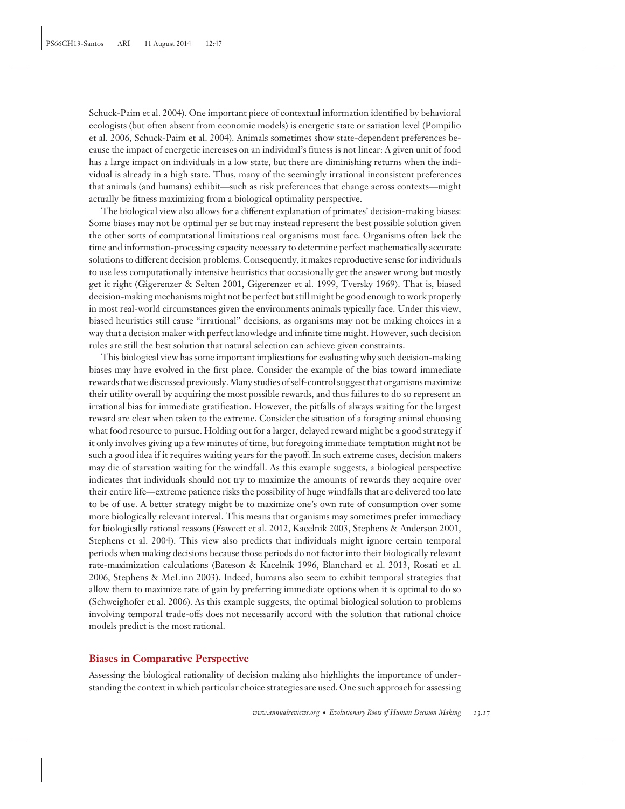Schuck-Paim et al. 2004). One important piece of contextual information identified by behavioral ecologists (but often absent from economic models) is energetic state or satiation level (Pompilio et al. 2006, Schuck-Paim et al. 2004). Animals sometimes show state-dependent preferences because the impact of energetic increases on an individual's fitness is not linear: A given unit of food has a large impact on individuals in a low state, but there are diminishing returns when the individual is already in a high state. Thus, many of the seemingly irrational inconsistent preferences that animals (and humans) exhibit—such as risk preferences that change across contexts—might actually be fitness maximizing from a biological optimality perspective.

The biological view also allows for a different explanation of primates' decision-making biases: Some biases may not be optimal per se but may instead represent the best possible solution given the other sorts of computational limitations real organisms must face. Organisms often lack the time and information-processing capacity necessary to determine perfect mathematically accurate solutions to different decision problems. Consequently, it makes reproductive sense for individuals to use less computationally intensive heuristics that occasionally get the answer wrong but mostly get it right (Gigerenzer & Selten 2001, Gigerenzer et al. 1999, Tversky 1969). That is, biased decision-making mechanisms might not be perfect but still might be good enough to work properly in most real-world circumstances given the environments animals typically face. Under this view, biased heuristics still cause "irrational" decisions, as organisms may not be making choices in a way that a decision maker with perfect knowledge and infinite time might. However, such decision rules are still the best solution that natural selection can achieve given constraints.

This biological view has some important implications for evaluating why such decision-making biases may have evolved in the first place. Consider the example of the bias toward immediate rewards that we discussed previously.Many studies of self-control suggest that organisms maximize their utility overall by acquiring the most possible rewards, and thus failures to do so represent an irrational bias for immediate gratification. However, the pitfalls of always waiting for the largest reward are clear when taken to the extreme. Consider the situation of a foraging animal choosing what food resource to pursue. Holding out for a larger, delayed reward might be a good strategy if it only involves giving up a few minutes of time, but foregoing immediate temptation might not be such a good idea if it requires waiting years for the payoff. In such extreme cases, decision makers may die of starvation waiting for the windfall. As this example suggests, a biological perspective indicates that individuals should not try to maximize the amounts of rewards they acquire over their entire life—extreme patience risks the possibility of huge windfalls that are delivered too late to be of use. A better strategy might be to maximize one's own rate of consumption over some more biologically relevant interval. This means that organisms may sometimes prefer immediacy for biologically rational reasons (Fawcett et al. 2012, Kacelnik 2003, Stephens & Anderson 2001, Stephens et al. 2004). This view also predicts that individuals might ignore certain temporal periods when making decisions because those periods do not factor into their biologically relevant rate-maximization calculations (Bateson & Kacelnik 1996, Blanchard et al. 2013, Rosati et al. 2006, Stephens & McLinn 2003). Indeed, humans also seem to exhibit temporal strategies that allow them to maximize rate of gain by preferring immediate options when it is optimal to do so (Schweighofer et al. 2006). As this example suggests, the optimal biological solution to problems involving temporal trade-offs does not necessarily accord with the solution that rational choice models predict is the most rational.

#### **Biases in Comparative Perspective**

Assessing the biological rationality of decision making also highlights the importance of understanding the context in which particular choice strategies are used. One such approach for assessing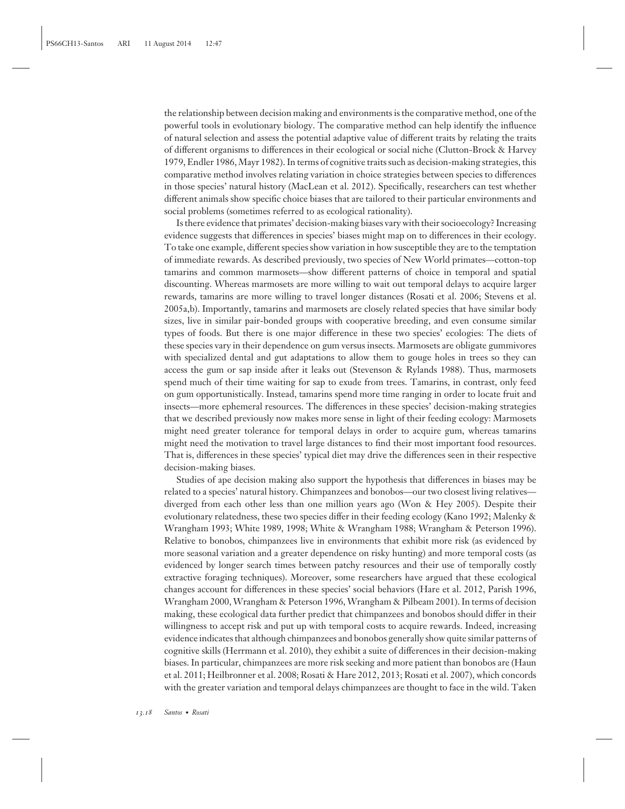the relationship between decision making and environments is the comparative method, one of the powerful tools in evolutionary biology. The comparative method can help identify the influence of natural selection and assess the potential adaptive value of different traits by relating the traits of different organisms to differences in their ecological or social niche (Clutton-Brock & Harvey 1979, Endler 1986, Mayr 1982). In terms of cognitive traits such as decision-making strategies, this comparative method involves relating variation in choice strategies between species to differences in those species' natural history (MacLean et al. 2012). Specifically, researchers can test whether different animals show specific choice biases that are tailored to their particular environments and social problems (sometimes referred to as ecological rationality).

Is there evidence that primates' decision-making biases vary with their socioecology? Increasing evidence suggests that differences in species' biases might map on to differences in their ecology. To take one example, different species show variation in how susceptible they are to the temptation of immediate rewards. As described previously, two species of New World primates—cotton-top tamarins and common marmosets—show different patterns of choice in temporal and spatial discounting. Whereas marmosets are more willing to wait out temporal delays to acquire larger rewards, tamarins are more willing to travel longer distances (Rosati et al. 2006; Stevens et al. 2005a,b). Importantly, tamarins and marmosets are closely related species that have similar body sizes, live in similar pair-bonded groups with cooperative breeding, and even consume similar types of foods. But there is one major difference in these two species' ecologies: The diets of these species vary in their dependence on gum versus insects. Marmosets are obligate gummivores with specialized dental and gut adaptations to allow them to gouge holes in trees so they can access the gum or sap inside after it leaks out (Stevenson & Rylands 1988). Thus, marmosets spend much of their time waiting for sap to exude from trees. Tamarins, in contrast, only feed on gum opportunistically. Instead, tamarins spend more time ranging in order to locate fruit and insects—more ephemeral resources. The differences in these species' decision-making strategies that we described previously now makes more sense in light of their feeding ecology: Marmosets might need greater tolerance for temporal delays in order to acquire gum, whereas tamarins might need the motivation to travel large distances to find their most important food resources. That is, differences in these species' typical diet may drive the differences seen in their respective decision-making biases.

Studies of ape decision making also support the hypothesis that differences in biases may be related to a species' natural history. Chimpanzees and bonobos—our two closest living relatives diverged from each other less than one million years ago (Won & Hey 2005). Despite their evolutionary relatedness, these two species differ in their feeding ecology (Kano 1992; Malenky & Wrangham 1993; White 1989, 1998; White & Wrangham 1988; Wrangham & Peterson 1996). Relative to bonobos, chimpanzees live in environments that exhibit more risk (as evidenced by more seasonal variation and a greater dependence on risky hunting) and more temporal costs (as evidenced by longer search times between patchy resources and their use of temporally costly extractive foraging techniques). Moreover, some researchers have argued that these ecological changes account for differences in these species' social behaviors (Hare et al. 2012, Parish 1996, Wrangham 2000,Wrangham & Peterson 1996,Wrangham & Pilbeam 2001). In terms of decision making, these ecological data further predict that chimpanzees and bonobos should differ in their willingness to accept risk and put up with temporal costs to acquire rewards. Indeed, increasing evidence indicates that although chimpanzees and bonobos generally show quite similar patterns of cognitive skills (Herrmann et al. 2010), they exhibit a suite of differences in their decision-making biases. In particular, chimpanzees are more risk seeking and more patient than bonobos are (Haun et al. 2011; Heilbronner et al. 2008; Rosati & Hare 2012, 2013; Rosati et al. 2007), which concords with the greater variation and temporal delays chimpanzees are thought to face in the wild. Taken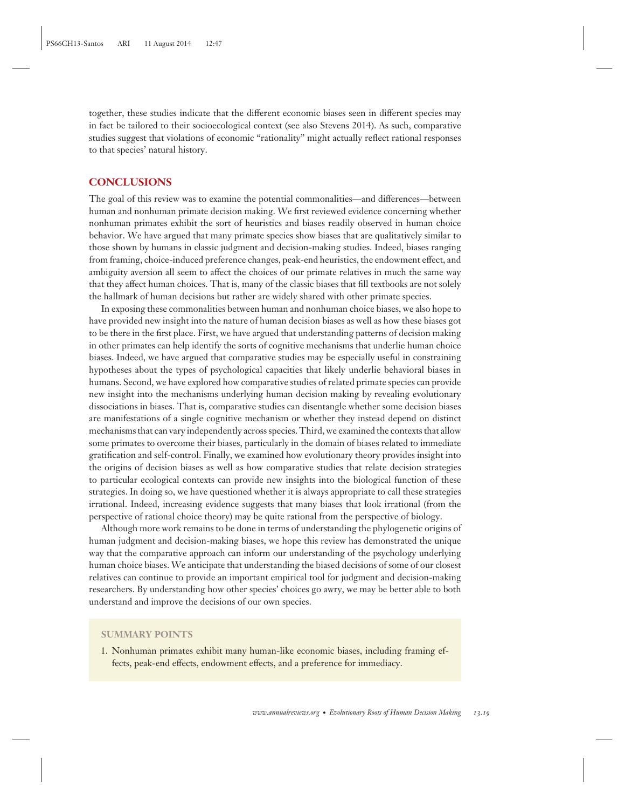together, these studies indicate that the different economic biases seen in different species may in fact be tailored to their socioecological context (see also Stevens 2014). As such, comparative studies suggest that violations of economic "rationality" might actually reflect rational responses to that species' natural history.

# **CONCLUSIONS**

The goal of this review was to examine the potential commonalities—and differences—between human and nonhuman primate decision making. We first reviewed evidence concerning whether nonhuman primates exhibit the sort of heuristics and biases readily observed in human choice behavior. We have argued that many primate species show biases that are qualitatively similar to those shown by humans in classic judgment and decision-making studies. Indeed, biases ranging from framing, choice-induced preference changes, peak-end heuristics, the endowment effect, and ambiguity aversion all seem to affect the choices of our primate relatives in much the same way that they affect human choices. That is, many of the classic biases that fill textbooks are not solely the hallmark of human decisions but rather are widely shared with other primate species.

In exposing these commonalities between human and nonhuman choice biases, we also hope to have provided new insight into the nature of human decision biases as well as how these biases got to be there in the first place. First, we have argued that understanding patterns of decision making in other primates can help identify the sorts of cognitive mechanisms that underlie human choice biases. Indeed, we have argued that comparative studies may be especially useful in constraining hypotheses about the types of psychological capacities that likely underlie behavioral biases in humans. Second, we have explored how comparative studies of related primate species can provide new insight into the mechanisms underlying human decision making by revealing evolutionary dissociations in biases. That is, comparative studies can disentangle whether some decision biases are manifestations of a single cognitive mechanism or whether they instead depend on distinct mechanisms that can vary independently across species. Third, we examined the contexts that allow some primates to overcome their biases, particularly in the domain of biases related to immediate gratification and self-control. Finally, we examined how evolutionary theory provides insight into the origins of decision biases as well as how comparative studies that relate decision strategies to particular ecological contexts can provide new insights into the biological function of these strategies. In doing so, we have questioned whether it is always appropriate to call these strategies irrational. Indeed, increasing evidence suggests that many biases that look irrational (from the perspective of rational choice theory) may be quite rational from the perspective of biology.

Although more work remains to be done in terms of understanding the phylogenetic origins of human judgment and decision-making biases, we hope this review has demonstrated the unique way that the comparative approach can inform our understanding of the psychology underlying human choice biases. We anticipate that understanding the biased decisions of some of our closest relatives can continue to provide an important empirical tool for judgment and decision-making researchers. By understanding how other species' choices go awry, we may be better able to both understand and improve the decisions of our own species.

#### **SUMMARY POINTS**

1. Nonhuman primates exhibit many human-like economic biases, including framing effects, peak-end effects, endowment effects, and a preference for immediacy.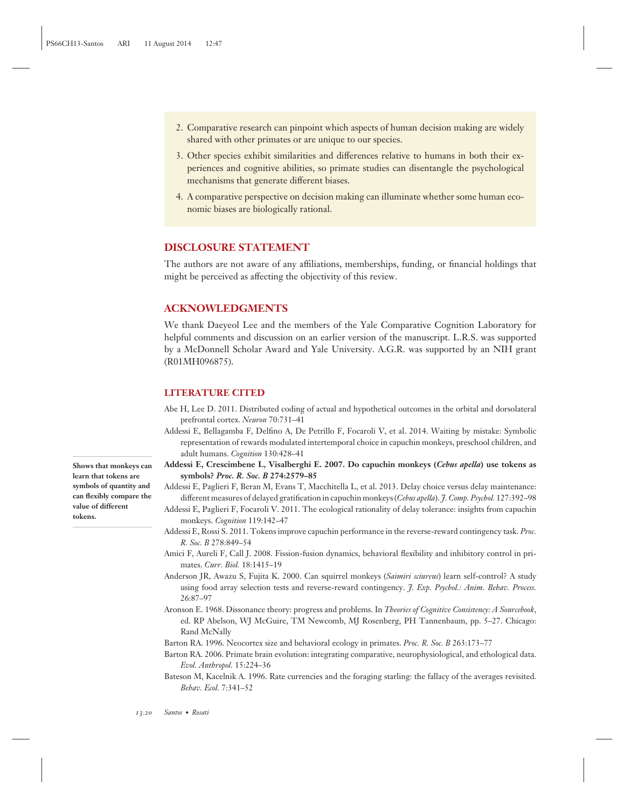- 2. Comparative research can pinpoint which aspects of human decision making are widely shared with other primates or are unique to our species.
- 3. Other species exhibit similarities and differences relative to humans in both their experiences and cognitive abilities, so primate studies can disentangle the psychological mechanisms that generate different biases.
- 4. A comparative perspective on decision making can illuminate whether some human economic biases are biologically rational.

# **DISCLOSURE STATEMENT**

The authors are not aware of any affiliations, memberships, funding, or financial holdings that might be perceived as affecting the objectivity of this review.

# **ACKNOWLEDGMENTS**

We thank Daeyeol Lee and the members of the Yale Comparative Cognition Laboratory for helpful comments and discussion on an earlier version of the manuscript. L.R.S. was supported by a McDonnell Scholar Award and Yale University. A.G.R. was supported by an NIH grant (R01MH096875).

#### **LITERATURE CITED**

- Abe H, Lee D. 2011. Distributed coding of actual and hypothetical outcomes in the orbital and dorsolateral prefrontal cortex. *Neuron* 70:731–41
- Addessi E, Bellagamba F, Delfino A, De Petrillo F, Focaroli V, et al. 2014. Waiting by mistake: Symbolic representation of rewards modulated intertemporal choice in capuchin monkeys, preschool children, and adult humans. *Cognition* 130:428–41
- **Addessi E, Crescimbene L, Visalberghi E. 2007. Do capuchin monkeys (***Cebus apella***) use tokens as symbols?** *Proc. R. Soc. B* **274:2579–85**
- Addessi E, Paglieri F, Beran M, Evans T, Macchitella L, et al. 2013. Delay choice versus delay maintenance: different measures of delayed gratification in capuchin monkeys (*Cebus apella*). *J. Comp. Psychol.* 127:392–98
- Addessi E, Paglieri F, Focaroli V. 2011. The ecological rationality of delay tolerance: insights from capuchin monkeys. *Cognition* 119:142–47
- Addessi E, Rossi S. 2011. Tokens improve capuchin performance in the reverse-reward contingency task. *Proc. R. Soc. B* 278:849–54
- Amici F, Aureli F, Call J. 2008. Fission-fusion dynamics, behavioral flexibility and inhibitory control in primates. *Curr. Biol.* 18:1415–19
- Anderson JR, Awazu S, Fujita K. 2000. Can squirrel monkeys (*Saimiri sciureus*) learn self-control? A study using food array selection tests and reverse-reward contingency. *J. Exp. Psychol.: Anim. Behav. Process.* 26:87–97
- Aronson E. 1968. Dissonance theory: progress and problems. In *Theories of Cognitive Consistency: A Sourcebook*, ed. RP Abelson, WJ McGuire, TM Newcomb, MJ Rosenberg, PH Tannenbaum, pp. 5–27. Chicago: Rand McNally
- Barton RA. 1996. Neocortex size and behavioral ecology in primates. *Proc. R. Soc. B* 263:173–77
- Barton RA. 2006. Primate brain evolution: integrating comparative, neurophysiological, and ethological data. *Evol. Anthropol.* 15:224–36
- Bateson M, Kacelnik A. 1996. Rate currencies and the foraging starling: the fallacy of the averages revisited. *Behav. Ecol.* 7:341–52

**Shows that monkeys can learn that tokens are symbols of quantity and can flexibly compare the value of different tokens.**

*<sup>13.20</sup> Santos* · *Rosati*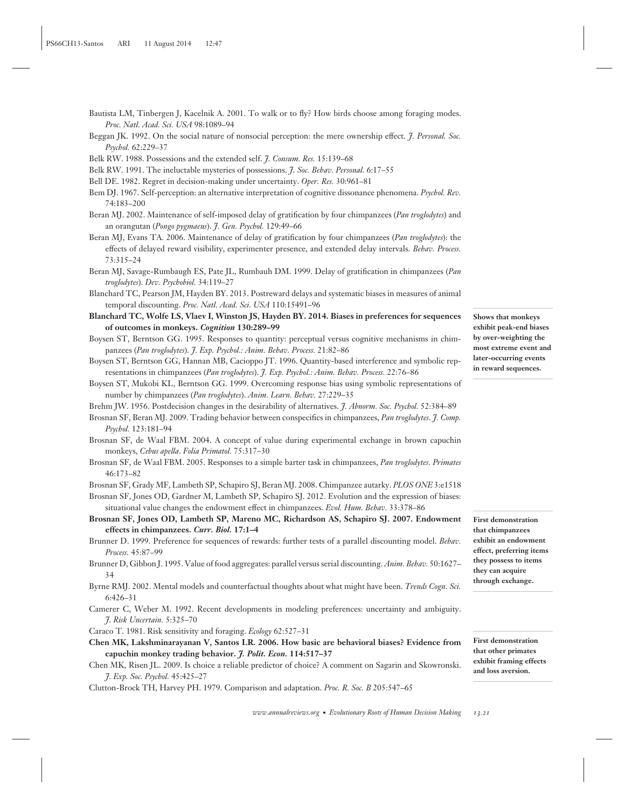- Bautista LM, Tinbergen J, Kacelnik A. 2001. To walk or to fly? How birds choose among foraging modes. *Proc. Natl. Acad. Sci. USA* 98:1089–94
- Beggan JK. 1992. On the social nature of nonsocial perception: the mere ownership effect. *J. Personal. Soc. Psychol.* 62:229–37
- Belk RW. 1988. Possessions and the extended self. *J. Consum. Res.* 15:139–68
- Belk RW. 1991. The ineluctable mysteries of possessions. *J. Soc. Behav. Personal.* 6:17–55
- Bell DE. 1982. Regret in decision-making under uncertainty. *Oper. Res.* 30:961–81
- Bem DJ. 1967. Self-perception: an alternative interpretation of cognitive dissonance phenomena. *Psychol. Rev.* 74:183–200
- Beran MJ. 2002. Maintenance of self-imposed delay of gratification by four chimpanzees (*Pan troglodytes*) and an orangutan (*Pongo pygmaeus*). *J. Gen. Psychol.* 129:49–66
- Beran MJ, Evans TA. 2006. Maintenance of delay of gratification by four chimpanzees (*Pan troglodytes*): the effects of delayed reward visibility, experimenter presence, and extended delay intervals. *Behav. Process.* 73:315–24
- Beran MJ, Savage-Rumbaugh ES, Pate JL, Rumbauh DM. 1999. Delay of gratification in chimpanzees (*Pan troglodytes*). *Dev. Psychobiol.* 34:119–27
- Blanchard TC, Pearson JM, Hayden BY. 2013. Postreward delays and systematic biases in measures of animal temporal discounting. *Proc. Natl. Acad. Sci. USA* 110:15491–96
- **Blanchard TC, Wolfe LS, Vlaev I, Winston JS, Hayden BY. 2014. Biases in preferences for sequences of outcomes in monkeys.** *Cognition* **130:289–99**
- Boysen ST, Berntson GG. 1995. Responses to quantity: perceptual versus cognitive mechanisms in chimpanzees (*Pan troglodytes*). *J. Exp. Psychol.: Anim. Behav. Process.* 21:82–86
- Boysen ST, Berntson GG, Hannan MB, Cacioppo JT. 1996. Quantity-based interference and symbolic representations in chimpanzees (*Pan troglodytes*). *J. Exp. Psychol.: Anim. Behav. Process.* 22:76–86
- Boysen ST, Mukobi KL, Berntson GG. 1999. Overcoming response bias using symbolic representations of number by chimpanzees (*Pan troglodytes*). *Anim. Learn. Behav.* 27:229–35
- Brehm JW. 1956. Postdecision changes in the desirability of alternatives. *J. Abnorm. Soc. Psychol.* 52:384–89

Brosnan SF, Beran MJ. 2009. Trading behavior between conspecifics in chimpanzees, *Pan troglodytes*. *J. Comp. Psychol.* 123:181–94

- Brosnan SF, de Waal FBM. 2004. A concept of value during experimental exchange in brown capuchin monkeys, *Cebus apella*. *Folia Primatol.* 75:317–30
- Brosnan SF, de Waal FBM. 2005. Responses to a simple barter task in chimpanzees, *Pan troglodytes*. *Primates* 46:173–82

Brosnan SF, Grady MF, Lambeth SP, Schapiro SJ, Beran MJ. 2008. Chimpanzee autarky. *PLOS ONE* 3:e1518

- Brosnan SF, Jones OD, Gardner M, Lambeth SP, Schapiro SJ. 2012. Evolution and the expression of biases: situational value changes the endowment effect in chimpanzees. *Evol. Hum. Behav.* 33:378–86
- **Brosnan SF, Jones OD, Lambeth SP, Mareno MC, Richardson AS, Schapiro SJ. 2007. Endowment effects in chimpanzees.** *Curr. Biol.* **17:1–4**
- Brunner D. 1999. Preference for sequences of rewards: further tests of a parallel discounting model. *Behav. Process.* 45:87–99
- Brunner D, Gibbon J. 1995. Value of food aggregates: parallel versus serial discounting. *Anim. Behav.* 50:1627– 34
- Byrne RMJ. 2002. Mental models and counterfactual thoughts about what might have been. *Trends Cogn. Sci.* 6:426–31
- Camerer C, Weber M. 1992. Recent developments in modeling preferences: uncertainty and ambiguity. *J. Risk Uncertain.* 5:325–70
- Caraco T. 1981. Risk sensitivity and foraging. *Ecology* 62:527–31
- **Chen MK, Lakshminarayanan V, Santos LR. 2006. How basic are behavioral biases? Evidence from capuchin monkey trading behavior.** *J. Polit. Econ.* **114:517–37**
- Chen MK, Risen JL. 2009. Is choice a reliable predictor of choice? A comment on Sagarin and Skowronski. *J. Exp. Soc. Psychol.* 45:425–27

Clutton-Brock TH, Harvey PH. 1979. Comparison and adaptation. *Proc. R. Soc. B* 205:547–65

*www.annualreviews.org* • *Evolutionary Roots of Human Decision Making 13.21*

**Shows that monkeys exhibit peak-end biases by over-weighting the most extreme event and later-occurring events in reward sequences.**

**First demonstration that chimpanzees exhibit an endowment effect, preferring items they possess to items they can acquire through exchange.**

**First demonstration that other primates exhibit framing effects and loss aversion.**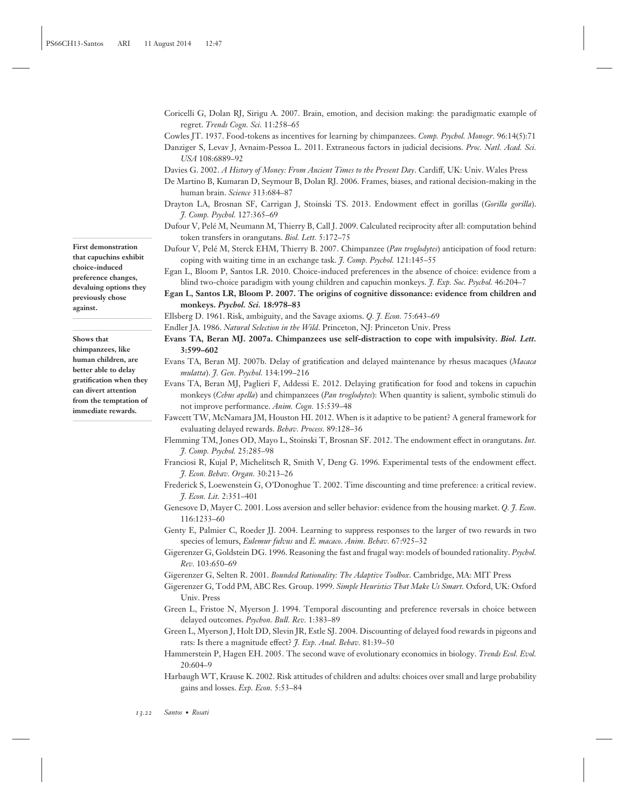- Coricelli G, Dolan RJ, Sirigu A. 2007. Brain, emotion, and decision making: the paradigmatic example of regret. *Trends Cogn. Sci.* 11:258–65
- Cowles JT. 1937. Food-tokens as incentives for learning by chimpanzees. *Comp. Psychol. Monogr.* 96:14(5):71
- Danziger S, Levav J, Avnaim-Pessoa L. 2011. Extraneous factors in judicial decisions. *Proc. Natl. Acad. Sci. USA* 108:6889–92
- Davies G. 2002. *A History of Money: From Ancient Times to the Present Day*. Cardiff, UK: Univ. Wales Press
- De Martino B, Kumaran D, Seymour B, Dolan RJ. 2006. Frames, biases, and rational decision-making in the human brain. *Science* 313:684–87
- Drayton LA, Brosnan SF, Carrigan J, Stoinski TS. 2013. Endowment effect in gorillas (*Gorilla gorilla*). *J. Comp. Psychol.* 127:365–69
- Dufour V, Pele M, Neumann M, Thierry B, Call J. 2009. Calculated reciprocity after all: computation behind ´ token transfers in orangutans. *Biol. Lett.* 5:172–75
- Dufour V, Pelé M, Sterck EHM, Thierry B. 2007. Chimpanzee (*Pan troglodytes*) anticipation of food return: coping with waiting time in an exchange task. *J. Comp. Psychol.* 121:145–55
- Egan L, Bloom P, Santos LR. 2010. Choice-induced preferences in the absence of choice: evidence from a blind two-choice paradigm with young children and capuchin monkeys. *J. Exp. Soc. Psychol.* 46:204–7
- **Egan L, Santos LR, Bloom P. 2007. The origins of cognitive dissonance: evidence from children and monkeys.** *Psychol. Sci.* **18:978–83**
- Ellsberg D. 1961. Risk, ambiguity, and the Savage axioms. *Q. J. Econ.* 75:643–69
- Endler JA. 1986. *Natural Selection in the Wild*. Princeton, NJ: Princeton Univ. Press
- **Evans TA, Beran MJ. 2007a. Chimpanzees use self-distraction to cope with impulsivity.** *Biol. Lett.* **3:599–602**
- Evans TA, Beran MJ. 2007b. Delay of gratification and delayed maintenance by rhesus macaques (*Macaca mulatta*). *J. Gen. Psychol.* 134:199–216
- Evans TA, Beran MJ, Paglieri F, Addessi E. 2012. Delaying gratification for food and tokens in capuchin monkeys (*Cebus apella*) and chimpanzees (*Pan troglodytes*): When quantity is salient, symbolic stimuli do not improve performance. *Anim. Cogn.* 15:539–48
- Fawcett TW, McNamara JM, Houston HI. 2012. When is it adaptive to be patient? A general framework for evaluating delayed rewards. *Behav. Process.* 89:128–36
- Flemming TM, Jones OD, Mayo L, Stoinski T, Brosnan SF. 2012. The endowment effect in orangutans. *Int. J. Comp. Psychol.* 25:285–98
- Franciosi R, Kujal P, Michelitsch R, Smith V, Deng G. 1996. Experimental tests of the endowment effect. *J. Econ. Behav. Organ.* 30:213–26
- Frederick S, Loewenstein G, O'Donoghue T. 2002. Time discounting and time preference: a critical review. *J. Econ. Lit.* 2:351–401
- Genesove D, Mayer C. 2001. Loss aversion and seller behavior: evidence from the housing market. *Q. J. Econ.* 116:1233–60
- Genty E, Palmier C, Roeder JJ. 2004. Learning to suppress responses to the larger of two rewards in two species of lemurs, *Eulemur fulvus* and *E. macaco*. *Anim. Behav.* 67:925–32
- Gigerenzer G, Goldstein DG. 1996. Reasoning the fast and frugal way: models of bounded rationality. *Psychol. Rev.* 103:650–69
- Gigerenzer G, Selten R. 2001. *Bounded Rationality: The Adaptive Toolbox*. Cambridge, MA: MIT Press
- Gigerenzer G, Todd PM, ABC Res. Group. 1999. *Simple Heuristics That Make Us Smart.* Oxford, UK: Oxford Univ. Press
- Green L, Fristoe N, Myerson J. 1994. Temporal discounting and preference reversals in choice between delayed outcomes. *Psychon. Bull. Rev.* 1:383–89
- Green L, Myerson J, Holt DD, Slevin JR, Estle SJ. 2004. Discounting of delayed food rewards in pigeons and rats: Is there a magnitude effect? *J. Exp. Anal. Behav.* 81:39–50
- Hammerstein P, Hagen EH. 2005. The second wave of evolutionary economics in biology. *Trends Ecol. Evol.* 20:604–9
- Harbaugh WT, Krause K. 2002. Risk attitudes of children and adults: choices over small and large probability gains and losses. *Exp. Econ.* 5:53–84

**First demonstration that capuchins exhibit choice-induced preference changes, devaluing options they previously chose against.**

**Shows that chimpanzees, like human children, are better able to delay gratification when they can divert attention from the temptation of immediate rewards.**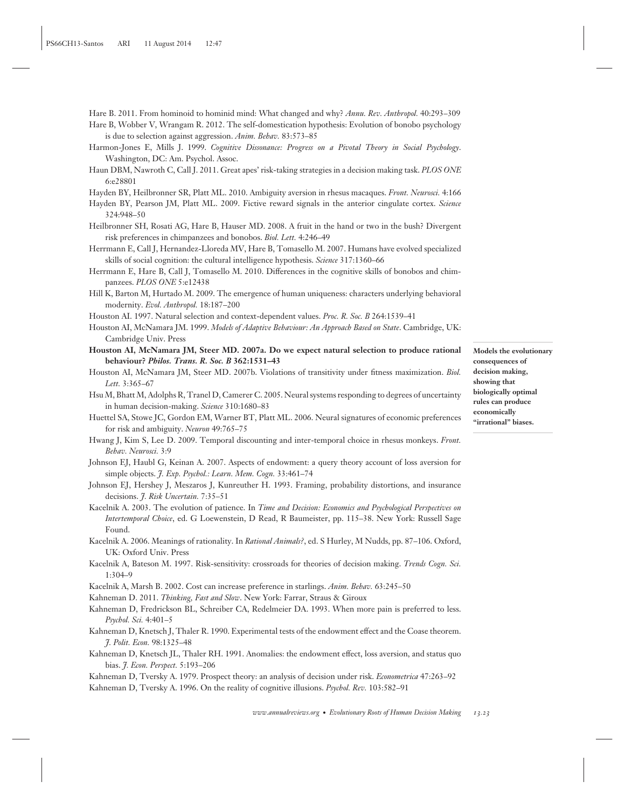Hare B. 2011. From hominoid to hominid mind: What changed and why? *Annu. Rev. Anthropol.* 40:293–309 Hare B, Wobber V, Wrangam R. 2012. The self-domestication hypothesis: Evolution of bonobo psychology is due to selection against aggression. *Anim. Behav.* 83:573–85

- Harmon-Jones E, Mills J. 1999. *Cognitive Dissonance: Progress on a Pivotal Theory in Social Psychology*. Washington, DC: Am. Psychol. Assoc.
- Haun DBM, Nawroth C, Call J. 2011. Great apes' risk-taking strategies in a decision making task. *PLOS ONE* 6:e28801

Hayden BY, Heilbronner SR, Platt ML. 2010. Ambiguity aversion in rhesus macaques. *Front. Neurosci.* 4:166

- Hayden BY, Pearson JM, Platt ML. 2009. Fictive reward signals in the anterior cingulate cortex. *Science* 324:948–50
- Heilbronner SH, Rosati AG, Hare B, Hauser MD. 2008. A fruit in the hand or two in the bush? Divergent risk preferences in chimpanzees and bonobos. *Biol. Lett.* 4:246–49
- Herrmann E, Call J, Hernandez-Lloreda MV, Hare B, Tomasello M. 2007. Humans have evolved specialized skills of social cognition: the cultural intelligence hypothesis. *Science* 317:1360–66
- Herrmann E, Hare B, Call J, Tomasello M. 2010. Differences in the cognitive skills of bonobos and chimpanzees. *PLOS ONE* 5:e12438
- Hill K, Barton M, Hurtado M. 2009. The emergence of human uniqueness: characters underlying behavioral modernity. *Evol. Anthropol.* 18:187–200
- Houston AI. 1997. Natural selection and context-dependent values. *Proc. R. Soc. B* 264:1539–41
- Houston AI, McNamara JM. 1999. *Models of Adaptive Behaviour: An Approach Based on State*. Cambridge, UK: Cambridge Univ. Press
- **Houston AI, McNamara JM, Steer MD. 2007a. Do we expect natural selection to produce rational behaviour?** *Philos. Trans. R. Soc. B* **362:1531–43**
- Houston AI, McNamara JM, Steer MD. 2007b. Violations of transitivity under fitness maximization. *Biol. Lett.* 3:365–67
- Hsu M, Bhatt M, Adolphs R, Tranel D, Camerer C. 2005. Neural systems responding to degrees of uncertainty in human decision-making. *Science* 310:1680–83

Huettel SA, Stowe JC, Gordon EM, Warner BT, Platt ML. 2006. Neural signatures of economic preferences for risk and ambiguity. *Neuron* 49:765–75

- Hwang J, Kim S, Lee D. 2009. Temporal discounting and inter-temporal choice in rhesus monkeys. *Front. Behav. Neurosci.* 3:9
- Johnson EJ, Haubl G, Keinan A. 2007. Aspects of endowment: a query theory account of loss aversion for simple objects. *J. Exp. Psychol.: Learn. Mem. Cogn.* 33:461–74
- Johnson EJ, Hershey J, Meszaros J, Kunreuther H. 1993. Framing, probability distortions, and insurance decisions. *J. Risk Uncertain.* 7:35–51
- Kacelnik A. 2003. The evolution of patience. In *Time and Decision: Economics and Psychological Perspectives on Intertemporal Choice*, ed. G Loewenstein, D Read, R Baumeister, pp. 115–38. New York: Russell Sage Found.
- Kacelnik A. 2006. Meanings of rationality. In *Rational Animals?*, ed. S Hurley, M Nudds, pp. 87–106. Oxford, UK: Oxford Univ. Press
- Kacelnik A, Bateson M. 1997. Risk-sensitivity: crossroads for theories of decision making. *Trends Cogn. Sci.* 1:304–9
- Kacelnik A, Marsh B. 2002. Cost can increase preference in starlings. *Anim. Behav.* 63:245–50
- Kahneman D. 2011. *Thinking, Fast and Slow*. New York: Farrar, Straus & Giroux
- Kahneman D, Fredrickson BL, Schreiber CA, Redelmeier DA. 1993. When more pain is preferred to less. *Psychol. Sci.* 4:401–5
- Kahneman D, Knetsch J, Thaler R. 1990. Experimental tests of the endowment effect and the Coase theorem. *J. Polit. Econ.* 98:1325–48
- Kahneman D, Knetsch JL, Thaler RH. 1991. Anomalies: the endowment effect, loss aversion, and status quo bias. *J. Econ. Perspect.* 5:193–206
- Kahneman D, Tversky A. 1979. Prospect theory: an analysis of decision under risk. *Econometrica* 47:263–92 Kahneman D, Tversky A. 1996. On the reality of cognitive illusions. *Psychol. Rev.* 103:582–91

*www.annualreviews.org* • *Evolutionary Roots of Human Decision Making 13.23*

**Models the evolutionary consequences of decision making, showing that biologically optimal rules can produce economically "irrational" biases.**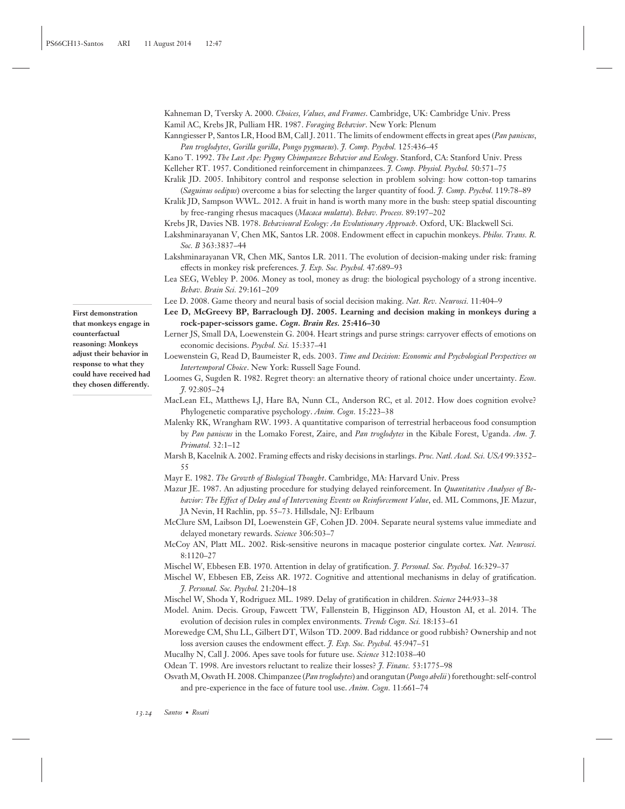Kahneman D, Tversky A. 2000. *Choices, Values, and Frames*. Cambridge, UK: Cambridge Univ. Press Kamil AC, Krebs JR, Pulliam HR. 1987. *Foraging Behavior*. New York: Plenum

Kanngiesser P, Santos LR, Hood BM, Call J. 2011. The limits of endowment effects in great apes (*Pan paniscus*, *Pan troglodytes*, *Gorilla gorilla*, *Pongo pygmaeus*). *J. Comp. Psychol.* 125:436–45

Kano T. 1992. *The Last Ape: Pygmy Chimpanzee Behavior and Ecology*. Stanford, CA: Stanford Univ. Press Kelleher RT. 1957. Conditioned reinforcement in chimpanzees. *J. Comp. Physiol. Psychol.* 50:571–75

Kralik JD. 2005. Inhibitory control and response selection in problem solving: how cotton-top tamarins (*Saguinus oedipus*) overcome a bias for selecting the larger quantity of food. *J. Comp. Psychol.* 119:78–89

Kralik JD, Sampson WWL. 2012. A fruit in hand is worth many more in the bush: steep spatial discounting by free-ranging rhesus macaques (*Macaca mulatta*). *Behav. Process.* 89:197–202

Krebs JR, Davies NB. 1978. *Behavioural Ecology: An Evolutionary Approach*. Oxford, UK: Blackwell Sci.

- Lakshminarayanan V, Chen MK, Santos LR. 2008. Endowment effect in capuchin monkeys. *Philos. Trans. R. Soc. B* 363:3837–44
- Lakshminarayanan VR, Chen MK, Santos LR. 2011. The evolution of decision-making under risk: framing effects in monkey risk preferences. *J. Exp. Soc. Psychol.* 47:689–93
- Lea SEG, Webley P. 2006. Money as tool, money as drug: the biological psychology of a strong incentive. *Behav. Brain Sci.* 29:161–209
- Lee D. 2008. Game theory and neural basis of social decision making. *Nat. Rev. Neurosci.* 11:404–9
- **Lee D, McGreevy BP, Barraclough DJ. 2005. Learning and decision making in monkeys during a rock-paper-scissors game.** *Cogn. Brain Res.* **25:416–30**
- Lerner JS, Small DA, Loewenstein G. 2004. Heart strings and purse strings: carryover effects of emotions on economic decisions. *Psychol. Sci.* 15:337–41
- Loewenstein G, Read D, Baumeister R, eds. 2003. *Time and Decision: Economic and Psychological Perspectives on Intertemporal Choice*. New York: Russell Sage Found.
- Loomes G, Sugden R. 1982. Regret theory: an alternative theory of rational choice under uncertainty. *Econ. J.* 92:805–24
- MacLean EL, Matthews LJ, Hare BA, Nunn CL, Anderson RC, et al. 2012. How does cognition evolve? Phylogenetic comparative psychology. *Anim. Cogn.* 15:223–38
- Malenky RK, Wrangham RW. 1993. A quantitative comparison of terrestrial herbaceous food consumption by *Pan paniscus* in the Lomako Forest, Zaire, and *Pan troglodytes* in the Kibale Forest, Uganda. *Am. J. Primatol.* 32:1–12
- Marsh B, Kacelnik A. 2002. Framing effects and risky decisions in starlings. *Proc. Natl. Acad. Sci. USA* 99:3352– 55
- Mayr E. 1982. *The Growth of Biological Thought*. Cambridge, MA: Harvard Univ. Press
- Mazur JE. 1987. An adjusting procedure for studying delayed reinforcement. In *Quantitative Analyses of Behavior: The Effect of Delay and of Intervening Events on Reinforcement Value*, ed. ML Commons, JE Mazur, JA Nevin, H Rachlin, pp. 55–73. Hillsdale, NJ: Erlbaum
- McClure SM, Laibson DI, Loewenstein GF, Cohen JD. 2004. Separate neural systems value immediate and delayed monetary rewards. *Science* 306:503–7
- McCoy AN, Platt ML. 2002. Risk-sensitive neurons in macaque posterior cingulate cortex. *Nat. Neurosci.* 8:1120–27
- Mischel W, Ebbesen EB. 1970. Attention in delay of gratification. *J. Personal. Soc. Psychol.* 16:329–37
- Mischel W, Ebbesen EB, Zeiss AR. 1972. Cognitive and attentional mechanisms in delay of gratification. *J. Personal. Soc. Psychol.* 21:204–18
- Mischel W, Shoda Y, Rodriguez ML. 1989. Delay of gratification in children. *Science* 244:933–38
- Model. Anim. Decis. Group, Fawcett TW, Fallenstein B, Higginson AD, Houston AI, et al. 2014. The evolution of decision rules in complex environments. *Trends Cogn. Sci.* 18:153–61
- Morewedge CM, Shu LL, Gilbert DT, Wilson TD. 2009. Bad riddance or good rubbish? Ownership and not loss aversion causes the endowment effect. *J. Exp. Soc. Psychol.* 45:947–51
- Mucalhy N, Call J. 2006. Apes save tools for future use. *Science* 312:1038–40

Odean T. 1998. Are investors reluctant to realize their losses? *J. Financ.* 53:1775–98

Osvath M, Osvath H. 2008. Chimpanzee (*Pan troglodytes*) and orangutan (*Pongo abelii* ) forethought: self-control and pre-experience in the face of future tool use. *Anim. Cogn.* 11:661–74

**First demonstration that monkeys engage in counterfactual reasoning: Monkeys adjust their behavior in response to what they could have received had they chosen differently.**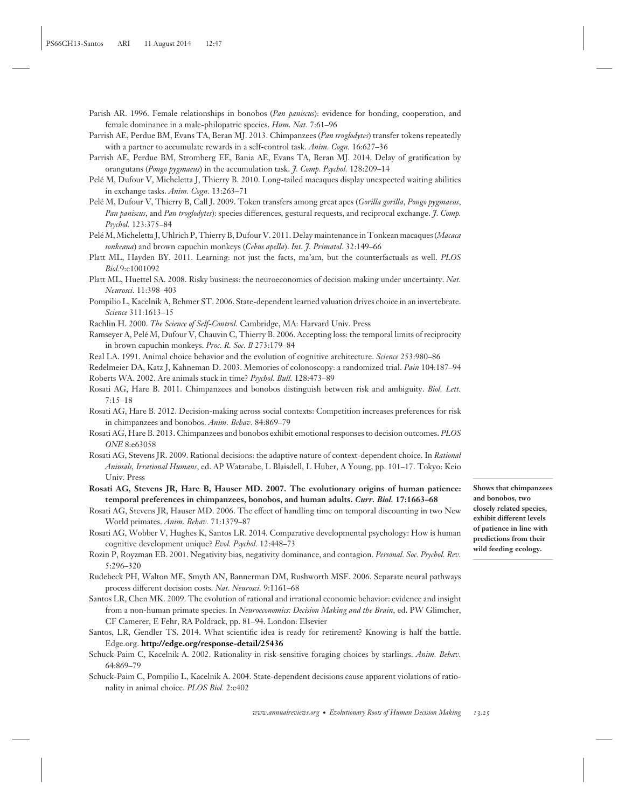- Parish AR. 1996. Female relationships in bonobos (*Pan paniscus*): evidence for bonding, cooperation, and female dominance in a male-philopatric species. *Hum. Nat.* 7:61–96
- Parrish AE, Perdue BM, Evans TA, Beran MJ. 2013. Chimpanzees (*Pan troglodytes*) transfer tokens repeatedly with a partner to accumulate rewards in a self-control task. *Anim. Cogn.* 16:627–36
- Parrish AE, Perdue BM, Stromberg EE, Bania AE, Evans TA, Beran MJ. 2014. Delay of gratification by orangutans (*Pongo pygmaeus*) in the accumulation task. *J. Comp. Psychol.* 128:209–14
- Pelé M, Dufour V, Micheletta J, Thierry B. 2010. Long-tailed macaques display unexpected waiting abilities in exchange tasks. *Anim. Cogn.* 13:263–71
- Pelé M, Dufour V, Thierry B, Call J. 2009. Token transfers among great apes (Gorilla gorilla, Pongo pygmaeus, *Pan paniscus*, and *Pan troglodytes*): species differences, gestural requests, and reciprocal exchange. *J. Comp. Psychol.* 123:375–84
- Pelé M, Micheletta J, Uhlrich P, Thierry B, Dufour V. 2011. Delay maintenance in Tonkean macaques (Macaca *tonkeana*) and brown capuchin monkeys (*Cebus apella*). *Int. J. Primatol.* 32:149–66
- Platt ML, Hayden BY. 2011. Learning: not just the facts, ma'am, but the counterfactuals as well. *PLOS Biol.*9:e1001092
- Platt ML, Huettel SA. 2008. Risky business: the neuroeconomics of decision making under uncertainty. *Nat. Neurosci.* 11:398–403
- Pompilio L, Kacelnik A, Behmer ST. 2006. State-dependent learned valuation drives choice in an invertebrate. *Science* 311:1613–15
- Rachlin H. 2000. *The Science of Self-Control*. Cambridge, MA: Harvard Univ. Press
- Ramseyer A, Pele M, Dufour V, Chauvin C, Thierry B. 2006. Accepting loss: the temporal limits of reciprocity ´ in brown capuchin monkeys. *Proc. R. Soc. B* 273:179–84

Real LA. 1991. Animal choice behavior and the evolution of cognitive architecture. *Science* 253:980–86

Redelmeier DA, Katz J, Kahneman D. 2003. Memories of colonoscopy: a randomized trial. *Pain* 104:187–94 Roberts WA. 2002. Are animals stuck in time? *Psychol. Bull.* 128:473–89

Rosati AG, Hare B. 2011. Chimpanzees and bonobos distinguish between risk and ambiguity. *Biol. Lett.* 7:15–18

- Rosati AG, Hare B. 2012. Decision-making across social contexts: Competition increases preferences for risk in chimpanzees and bonobos. *Anim. Behav.* 84:869–79
- Rosati AG, Hare B. 2013. Chimpanzees and bonobos exhibit emotional responses to decision outcomes. *PLOS ONE* 8:e63058
- Rosati AG, Stevens JR. 2009. Rational decisions: the adaptive nature of context-dependent choice. In *Rational Animals, Irrational Humans*, ed. AP Watanabe, L Blaisdell, L Huber, A Young, pp. 101–17. Tokyo: Keio Univ. Press
- **Rosati AG, Stevens JR, Hare B, Hauser MD. 2007. The evolutionary origins of human patience: temporal preferences in chimpanzees, bonobos, and human adults.** *Curr. Biol.* **17:1663–68**
- Rosati AG, Stevens JR, Hauser MD. 2006. The effect of handling time on temporal discounting in two New World primates. *Anim. Behav.* 71:1379–87
- Rosati AG, Wobber V, Hughes K, Santos LR. 2014. Comparative developmental psychology: How is human cognitive development unique? *Evol. Psychol.* 12:448–73

Rozin P, Royzman EB. 2001. Negativity bias, negativity dominance, and contagion. *Personal. Soc. Psychol. Rev.* 5:296–320

Rudebeck PH, Walton ME, Smyth AN, Bannerman DM, Rushworth MSF. 2006. Separate neural pathways process different decision costs. *Nat. Neurosci.* 9:1161–68

Santos LR, Chen MK. 2009. The evolution of rational and irrational economic behavior: evidence and insight from a non-human primate species. In *Neuroeconomics: Decision Making and the Brain*, ed. PW Glimcher, CF Camerer, E Fehr, RA Poldrack, pp. 81–94. London: Elsevier

- Santos, LR, Gendler TS. 2014. What scientific idea is ready for retirement? Knowing is half the battle. Edge.org. **http://edge.org/response-detail/25436**
- Schuck-Paim C, Kacelnik A. 2002. Rationality in risk-sensitive foraging choices by starlings. *Anim. Behav.* 64:869–79
- Schuck-Paim C, Pompilio L, Kacelnik A. 2004. State-dependent decisions cause apparent violations of rationality in animal choice. *PLOS Biol.* 2:e402

*www.annualreviews.org* • *Evolutionary Roots of Human Decision Making 13.25*

**Shows that chimpanzees and bonobos, two closely related species, exhibit different levels of patience in line with predictions from their wild feeding ecology.**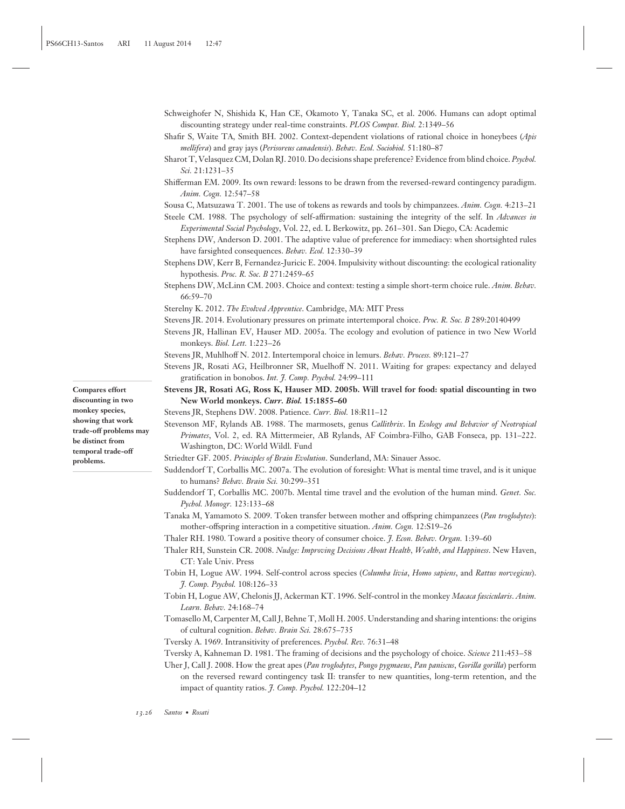- Schweighofer N, Shishida K, Han CE, Okamoto Y, Tanaka SC, et al. 2006. Humans can adopt optimal discounting strategy under real-time constraints. *PLOS Comput. Biol.* 2:1349–56
- Shafir S, Waite TA, Smith BH. 2002. Context-dependent violations of rational choice in honeybees (*Apis mellifera*) and gray jays (*Perisoreus canadensis*). *Behav. Ecol. Sociobiol.* 51:180–87
- Sharot T, Velasquez CM, Dolan RJ. 2010. Do decisions shape preference? Evidence from blind choice. *Psychol. Sci.* 21:1231–35
- Shifferman EM. 2009. Its own reward: lessons to be drawn from the reversed-reward contingency paradigm. *Anim. Cogn.* 12:547–58
- Sousa C, Matsuzawa T. 2001. The use of tokens as rewards and tools by chimpanzees. *Anim. Cogn.* 4:213–21
- Steele CM. 1988. The psychology of self-affirmation: sustaining the integrity of the self. In *Advances in Experimental Social Psychology*, Vol. 22, ed. L Berkowitz, pp. 261–301. San Diego, CA: Academic
- Stephens DW, Anderson D. 2001. The adaptive value of preference for immediacy: when shortsighted rules have farsighted consequences. *Behav. Ecol.* 12:330–39
- Stephens DW, Kerr B, Fernandez-Juricic E. 2004. Impulsivity without discounting: the ecological rationality hypothesis. *Proc. R. Soc. B* 271:2459–65
- Stephens DW, McLinn CM. 2003. Choice and context: testing a simple short-term choice rule. *Anim. Behav.* 66:59–70
- Sterelny K. 2012. *The Evolved Apprentice*. Cambridge, MA: MIT Press
- Stevens JR. 2014. Evolutionary pressures on primate intertemporal choice. *Proc. R. Soc. B* 289:20140499
- Stevens JR, Hallinan EV, Hauser MD. 2005a. The ecology and evolution of patience in two New World monkeys. *Biol. Lett.* 1:223–26
- Stevens JR, Muhlhoff N. 2012. Intertemporal choice in lemurs. *Behav. Process.* 89:121–27
- Stevens JR, Rosati AG, Heilbronner SR, Muelhoff N. 2011. Waiting for grapes: expectancy and delayed gratification in bonobos. *Int. J. Comp. Psychol.* 24:99–111
- **Stevens JR, Rosati AG, Ross K, Hauser MD. 2005b. Will travel for food: spatial discounting in two New World monkeys.** *Curr. Biol.* **15:1855–60**
- Stevens JR, Stephens DW. 2008. Patience. *Curr. Biol.* 18:R11–12
- Stevenson MF, Rylands AB. 1988. The marmosets, genus *Callithrix*. In *Ecology and Behavior of Neotropical Primates*, Vol. 2, ed. RA Mittermeier, AB Rylands, AF Coimbra-Filho, GAB Fonseca, pp. 131–222. Washington, DC: World Wildl. Fund
- Striedter GF. 2005. *Principles of Brain Evolution*. Sunderland, MA: Sinauer Assoc.
- Suddendorf T, Corballis MC. 2007a. The evolution of foresight: What is mental time travel, and is it unique to humans? *Behav. Brain Sci.* 30:299–351
- Suddendorf T, Corballis MC. 2007b. Mental time travel and the evolution of the human mind. *Genet. Soc. Pychol. Monogr.* 123:133–68
- Tanaka M, Yamamoto S. 2009. Token transfer between mother and offspring chimpanzees (*Pan troglodytes*): mother-offspring interaction in a competitive situation. *Anim. Cogn.* 12:S19–26
- Thaler RH. 1980. Toward a positive theory of consumer choice. *J. Econ. Behav. Organ.* 1:39–60
- Thaler RH, Sunstein CR. 2008. *Nudge: Improving Decisions About Health, Wealth, and Happiness*. New Haven, CT: Yale Univ. Press
- Tobin H, Logue AW. 1994. Self-control across species (*Columba livia*, *Homo sapiens*, and *Rattus norvegicus*). *J. Comp. Psychol.* 108:126–33
- Tobin H, Logue AW, Chelonis JJ, Ackerman KT. 1996. Self-control in the monkey *Macaca fascicularis*. *Anim. Learn. Behav.* 24:168–74
- Tomasello M, Carpenter M, Call J, Behne T, Moll H. 2005. Understanding and sharing intentions: the origins of cultural cognition. *Behav. Brain Sci.* 28:675–735
- Tversky A. 1969. Intransitivity of preferences. *Psychol. Rev.* 76:31–48
- Tversky A, Kahneman D. 1981. The framing of decisions and the psychology of choice. *Science* 211:453–58
- Uher J, Call J. 2008. How the great apes (*Pan troglodytes*, *Pongo pygmaeus*, *Pan paniscus*, *Gorilla gorilla*) perform on the reversed reward contingency task II: transfer to new quantities, long-term retention, and the impact of quantity ratios. *J. Comp. Psychol.* 122:204–12

**Compares effort discounting in two monkey species, showing that work trade-off problems may be distinct from temporal trade-off problems.**

*13.26 Santos* · *Rosati*